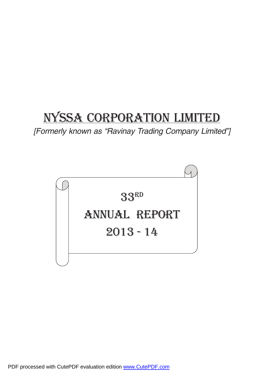# NYSSA CORPORATION LIMITED

[Formerly known as "Ravinay Trading Company Limited"]

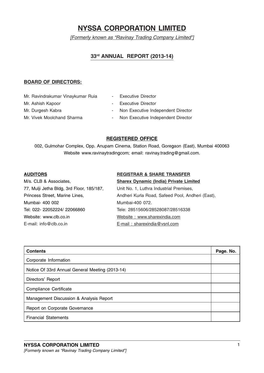# NYSSA CORPORATION LIMITED

[Formerly known as "Ravinay Trading Company Limited"]

# 33rd ANNUAL REPORT (2013-14)

# BOARD OF DIRECTORS:

- Mr. Ravindrakumar Vinaykumar Ruia Executive Director
- 
- 
- 
- 
- Mr. Ashish Kapoor  **Executive Director**
- Mr. Durgesh Kabra **Capacita Non Executive Independent Director**
- Mr. Vivek Moolchand Sharma Non Executive Independent Director

# REGISTERED OFFICE

002, Gulmohar Complex, Opp. Anupam Cinema, Station Road, Goregaon (East), Mumbai 400063 Website www.ravinaytradingcom; email: ravinay.trading@gmail.com.

M/s. CLB & Associates, Sharex Dynamic (India) Private Limited 77, Mulji Jetha Bldg, 3rd Floor, 185/187, Unit No. 1, Luthra Industrial Premises, Mumbai- 400 002 Mumbai-400 072. Tel: 022- 22052224/ 22066860 Tele: 28515606/28528087/28516338 Website: www.clb.co.in Website : www.sharexindia.com E-mail: info@clb.co.in E-mail : sharexindia@vsnl.com

# AUDITORS REGISTRAR & SHARE TRANSFER

Princess Street, Marine Lines, Andheri Kurla Road, Safeed Pool, Andheri (East),

| <b>Contents</b>                                 | Page. No. |
|-------------------------------------------------|-----------|
| Corporate Information                           |           |
| Notice Of 33rd Annual General Meeting (2013-14) |           |
| Directors' Report                               |           |
| Compliance Certificate                          |           |
| Management Discussion & Analysis Report         |           |
| Report on Corporate Governance                  |           |
| <b>Financial Statements</b>                     |           |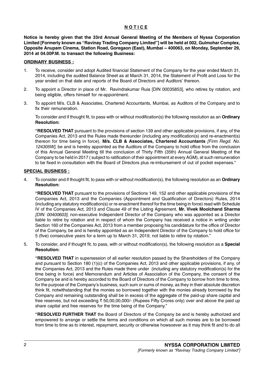# **NOTICE**

Notice is hereby given that the 33rd Annual General Meeting of the Members of Nyssa Corporation Limited [Formerly known as "Ravinay Trading Company Limited"] will be held at 002, Gulmohar Complex, Opposite Anupam Cinema, Station Road, Goregaon (East), Mumbai – 400063, on Monday, September 29, 2014 at 04.00P.M. to transact the following Business:

### ORDINARY BUSINESS :

- 1. To receive, consider and adopt Audited financial Statement of the Company for the year ended March 31, 2014, including the audited Balance Sheet as at March 31, 2014, the Statement of Profit and Loss for the year ended on that date and reports of the Board of Directors and Auditors' thereon.
- 2. To appoint a Director in place of Mr. Ravindrakumar Ruia [DIN 00035853], who retires by rotation, and being eligible, offers himself for re-appointment.
- 3. To appoint M/s. CLB & Associates, Chartered Accountants, Mumbai, as Auditors of the Company and to fix their remuneration.

To consider and if thought fit, to pass with or without modification(s) the following resolution as an Ordinary Resolution:

"RESOLVED THAT pursuant to the provisions of section 139 and other applicable provisions, if any, of the Companies Act, 2013 and the Rules made thereunder (including any modification(s) and re-enactment(s) thereon for time being in force), M/s. CLB & Associates, Chartered Accountants [Firm Regd. No. 124305W], be and is hereby appointed as the Auditors of the Company to hold office from the conclusion of this Annual General Meeting till the conclusion of Thirty Fifth (35th) Annual General Meeting of the Company to be held in 2017 ( subject to ratification of their appointment at every AGM), at such remuneration to be fixed in consultation with the Board of Directors plus re-imbursement of out of pocket expenses."

#### SPECIAL BUSINESS :

4. To consider and if thought fit, to pass with or without modification(s), the following resolution as an Ordinary Resolution:

"RESOLVED THAT pursuant to the provisions of Sections 149, 152 and other applicable provisions of the Companies Act, 2013 and the Companies (Appointment and Qualification of Directors) Rules, 2014 (including any statutory modification(s) or re-enactment thereof for the time being in force) read with Schedule IV of the Companies Act, 2013 and Clause 49 of the Listing Agreement, Mr. Vivek Moolchand Sharma [DIN: 00400603], non-executive Independent Director of the Company who was appointed as a Director liable to retire by rotation and in respect of whom the Company has received a notice in writing under Section 160 of the Companies Act, 2013 from a member proposing his candidature for the office of Director of the Company, be and is hereby appointed as an Independent Director of the Company to hold office for 5 (five) consecutive years for a term up to March 31, 2019, not liable to retire by rotation."

5. To consider, and if thought fit, to pass, with or without modification(s), the following resolution as a Special Resolution:

"RESOLVED THAT in supersession of all earlier resolution passed by the Shareholders of the Company and pursuant to Section 180 (1)(c) of the Companies Act, 2013 and other applicable provisions, if any, of the Companies Act, 2013 and the Rules made there under (including any statutory modification(s) for the time being in force) and Memorandum and Articles of Association of the Company, the consent of the Company be and is hereby accorded to the Board of Directors of the Company to borrow from time to time, for the purpose of the Company's business, such sum or sums of money, as they in their absolute discretion think fit, notwithstanding that the monies so borrowed together with the monies already borrowed by the Company and remaining outstanding shall be in excess of the aggregate of the paid-up share capital and free reserves, but not exceeding  $\bar{\tau}$  50,00,00,000/- (Rupees Fifty Crores only) over and above the paid up share capital and free reserves for the time being of the Company."

"RESOLVED FURTHER THAT the Board of Directors of the Company be and is hereby authorized and empowered to arrange or settle the terms and conditions on which all such monies are to be borrowed from time to time as to interest, repayment, security or otherwise howsoever as it may think fit and to do all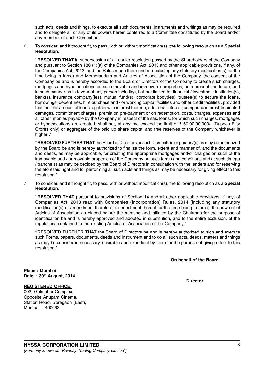such acts, deeds and things, to execute all such documents, instruments and writings as may be required and to delegate all or any of its powers herein conferred to a Committee constituted by the Board and/or any member of such Committee."

6. To consider, and if thought fit, to pass, with or without modification(s), the following resolution as a Special Resolution:

"RESOLVED THAT in supersession of all earlier resolution passed by the Shareholders of the Company and pursuant to Section 180 (1)(a) of the Companies Act, 2013 and other applicable provisions, if any, of the Companies Act, 2013, and the Rules made there under (including any statutory modification(s) for the time being in force) and Memorandum and Articles of Association of the Company, the consent of the Company be and is hereby accorded to the Board of Directors of the Company to create such charges, mortgages and hypothecations on such movable and immovable properties, both present and future, and in such manner as in favour of any person including, but not limited to, financial / investment institution(s), bank(s), insurance company(ies), mutual fund(s), corporate body(ies), trustee(s) to secure the loans, borrowings, debentures, hire purchase and / or working capital facilities and other credit facilities , provided that the total amount of loans together with interest thereon, additional interest, compound interest, liquidated damages, commitment charges, premia on pre-payment or on redemption, costs, charges, expenses and all other monies payable by the Company in respect of the said loans, for which such charges, mortgages or hypothecations are created, shall not, at anytime exceed the limit of  $\bar{\tau}$  50,00,00,000/- (Rupees Fifty Crores only) or aggregate of the paid up share capital and free reserves of the Company whichever is higher ."

"RESOLVED FURTHER THAT the Board of Directors or such Committee or person/(s) as may be authorized by the Board be and is hereby authorized to finalize the form, extent and manner of, and the documents and deeds, as may be applicable, for creating the appropriate mortgages and/or charges on such of the immovable and / or movable properties of the Company on such terms and conditions and at such time(s) / tranche(s) as may be decided by the Board of Directors in consultation with the lenders and for reserving the aforesaid right and for performing all such acts and things as may be necessary for giving effect to this resolution."

7. To consider, and if thought fit, to pass, with or without modification(s), the following resolution as a Special Resolution:

"RESOLVED THAT pursuant to provisions of Section 14 and all other applicable provisions, if any, of Companies Act, 2013 read with Companies (Incorporation) Rules, 2014 (including any statutory modification(s) or amendment thereto or re-enactment thereof for the time being in force), the new set of Articles of Association as placed before the meeting and initialed by the Chairman for the purpose of identification be and is hereby approved and adopted in substitution, and to the entire exclusion, of the regulations contained in the existing Articles of Association of the Company."

"RESOLVED FURTHER THAT the Board of Directors be and is hereby authorized to sign and execute such Forms, papers, documents, deeds and instrument and to do all such acts, deeds, matters and things as may be considered necessary, desirable and expedient by them for the purpose of giving effect to this resolution."

On behalf of the Board

Place : Mumbai Date: 30th August, 2014

# REGISTERED OFFICE:

002, Gulmohar Complex, Opposite Anupam Cinema, Station Road, Goregaon (East), Mumbai – 400063

**Director**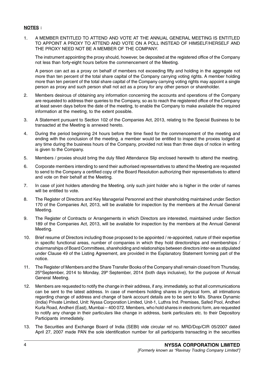# NOTES :

1. A MEMBER ENTITLED TO ATTEND AND VOTE AT THE ANNUAL GENERAL MEETING IS ENTITLED TO APPOINT A PROXY TO ATTEND AND VOTE ON A POLL INSTEAD OF HIMSELF/HERSELF AND THE PROXY NEED NOT BE A MEMBER OF THE COMPANY.

The instrument appointing the proxy should, however, be deposited at the registered office of the Company not less than forty-eight hours before the commencement of the Meeting.

A person can act as a proxy on behalf of members not exceeding fifty and holding in the aggregate not more than ten percent of the total share capital of the Company carrying voting rights. A member holding more than ten percent of the total share capital of the Company carrying voting rights may appoint a single person as proxy and such person shall not act as a proxy for any other person or shareholder.

- 2. Members desirous of obtaining any information concerning the accounts and operations of the Company are requested to address their queries to the Company, so as to reach the registered office of the Company at least seven days before the date of the meeting, to enable the Company to make available the required information at the meeting, to the extent possible.
- 3. A Statement pursuant to Section 102 of the Companies Act, 2013, relating to the Special Business to be transacted at the Meeting is annexed hereto.
- 4. During the period beginning 24 hours before the time fixed for the commencement of the meeting and ending with the conclusion of the meeting, a member would be entitled to inspect the proxies lodged at any time during the business hours of the Company, provided not less than three days of notice in writing is given to the Company.
- 5. Members / proxies should bring the duly filled Attendance Slip enclosed herewith to attend the meeting.
- 6. Corporate members intending to send their authorised representatives to attend the Meeting are requested to send to the Company a certified copy of the Board Resolution authorizing their representatives to attend and vote on their behalf at the Meeting.
- 7. In case of joint holders attending the Meeting, only such joint holder who is higher in the order of names will be entitled to vote.
- 8. The Register of Directors and Key Managerial Personnel and their shareholding maintained under Section 170 of the Companies Act, 2013, will be available for inspection by the members at the Annual General Meeting.
- 9. The Register of Contracts or Arrangements in which Directors are interested, maintained under Section 189 of the Companies Act, 2013, will be available for inspection by the members at the Annual General Meeting.
- 10. Brief resume of Directors including those proposed to be appointed / re-appointed, nature of their expertise in specific functional areas, number of companies in which they hold directorships and memberships / chairmanships of Board Committees, shareholding and relationships between directors inter-se as stipulated under Clause 49 of the Listing Agreement, are provided in the Explanatory Statement forming part of the notice.
- 11. The Register of Members and the Share Transfer Books of the Company shall remain closed from Thursday, 25<sup>th</sup>September, 2014 to Monday, 29<sup>th</sup> September, 2014 (both days inclusive), for the purpose of Annual General Meeting.
- 12. Members are requested to notify the change in their address, if any, immediately, so that all communications can be sent to the latest address. In case of members holding shares in physical form, all intimations regarding change of address and change of bank account details are to be sent to M/s. Sharex Dynamic (India) Private Limited, Unit: Nyssa Corporation Limited, Unit-1, Luthra Ind. Premises, Safed Pool, Andheri Kurla Road, Andheri (East), Mumbai – 400 072. Members, who hold shares in electronic form, are requested to notify any change in their particulars like change in address, bank particulars etc. to their Depository Participants immediately.
- 13. The Securities and Exchange Board of India (SEBI) vide circular ref no. MRD/Dop/CIR 05/2007 dated April 27, 2007 made PAN the sole identification number for all participants transacting in the securities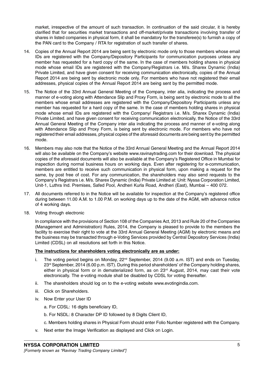market, irrespective of the amount of such transaction. In continuation of the said circular, it is hereby clarified that for securities market transactions and off-market/private transactions involving transfer of shares in listed companies in physical form, it shall be mandatory for the transferee(s) to furnish a copy of the PAN card to the Company / RTA for registration of such transfer of shares.

- 14. Copies of the Annual Report 2014 are being sent by electronic mode only to those members whose email IDs are registered with the Company/Depository Participants for communication purposes unless any member has requested for a hard copy of the same. In the case of members holding shares in physical mode whose email IDs are registered with the Company/Registrars i.e. M/s. Sharex Dynamic (India) Private Limited, and have given consent for receiving communication electronically, copies of the Annual Report 2014 are being sent by electronic mode only. For members who have not registered their email addresses, physical copies of the Annual Report 2014 are being sent by the permitted mode.
- 15. The Notice of the 33rd Annual General Meeting of the Company, inter alia, indicating the process and manner of e-voting along with Attendance Slip and Proxy Form, is being sent by electronic mode to all the members whose email addresses are registered with the Company/Depository Participants unless any member has requested for a hard copy of the same. In the case of members holding shares in physical mode whose email IDs are registered with the Company/ Registrars i.e. M/s. Sharex Dynamic (India) Private Limited, and have given consent for receiving communication electronically, the Notice of the 33rd Annual General Meeting of the Company inter alia indicating the process and manner of e-voting along with Attendance Slip and Proxy Form, is being sent by electronic mode. For members who have not registered their email addresses, physical copies of the aforesaid documents are being sent by the permitted mode.
- 16. Members may also note that the Notice of the 33rd Annual General Meeting and the Annual Report 2014 will also be available on the Company's website www.ravinaytrading.com for their download. The physical copies of the aforesaid documents will also be available at the Company's Registered Office in Mumbai for inspection during normal business hours on working days. Even after registering for e-communication, members are entitled to receive such communication in physical form, upon making a request for the same, by post free of cost. For any communication, the shareholders may also send requests to the Company's Registrars i.e. M/s. Sharex Dynamic (India) Private Limited at: Unit: Nyssa Corporation Limited, Unit-1, Luthra Ind. Premises, Safed Pool, Andheri Kurla Road, Andheri (East), Mumbai – 400 072.
- 17. All documents referred to in the Notice will be available for inspection at the Company's registered office during between 11.00 A.M. to 1.00 P.M. on working days up to the date of the AGM, with advance notice of 4 working days.
- 18. Voting through electronic

In compliance with the provisions of Section 108 of the Companies Act, 2013 and Rule 20 of the Companies (Management and Administration) Rules, 2014, the Company is pleased to provide to the members the facility to exercise their right to vote at the 33rd Annual General Meeting (AGM) by electronic means and the business may be transacted through e-Voting Services provided by Central Depository Services (India) Limited (CDSL) on all resolutions set forth in this Notice.

# The instructions for shareholders voting electronically are as under:

- i. The voting period begins on Monday,  $22<sup>nd</sup>$  September, 2014 (9.00 a.m. IST) and ends on Tuesday, 23<sup>rd</sup> September, 2014 (6.00 p.m. IST). During this period shareholders' of the Company holding shares, either in physical form or in dematerialized form, as on  $23<sup>rd</sup>$  August, 2014, may cast their vote electronically. The e-voting module shall be disabled by CDSL for voting thereafter.
- ii. The shareholders should log on to the e-voting website www.evotingindia.com.
- iii. Click on Shareholders.
- iv. Now Enter your User ID
	- a. For CDSL: 16 digits beneficiary ID,
	- b. For NSDL: 8 Character DP ID followed by 8 Digits Client ID,
	- c. Members holding shares in Physical Form should enter Folio Number registered with the Company.
- v. Next enter the Image Verification as displayed and Click on Login.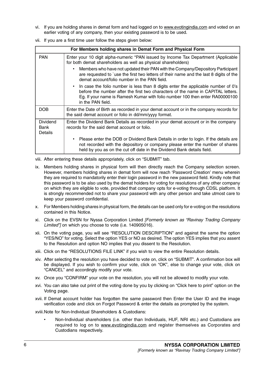vi. If you are holding shares in demat form and had logged on to www.evotingindia.com and voted on an earlier voting of any company, then your existing password is to be used.

|  |  |  | vii. If you are a first time user follow the steps given below: |  |
|--|--|--|-----------------------------------------------------------------|--|
|--|--|--|-----------------------------------------------------------------|--|

|                                    | For Members holding shares in Demat Form and Physical Form                                                                                                                                                                                                                 |
|------------------------------------|----------------------------------------------------------------------------------------------------------------------------------------------------------------------------------------------------------------------------------------------------------------------------|
| <b>PAN</b>                         | Enter your 10 digit alpha-numeric *PAN issued by Income Tax Department (Applicable<br>for both demat shareholders as well as physical shareholders)                                                                                                                        |
|                                    | Members who have not updated their PAN with the Company/Depository Participant<br>are requested to `use the first two letters of their name and the last 8 digits of the<br>demat account/folio number in the PAN field.                                                   |
|                                    | In case the folio number is less than 8 digits enter the applicable number of 0's<br>before the number after the first two characters of the name in CAPITAL letters.<br>Eg. If your name is Ramesh Kumar with folio number 100 then enter RA00000100<br>in the PAN field. |
| <b>DOB</b>                         | Enter the Date of Birth as recorded in your demat account or in the company records for<br>the said demat account or folio in dd/mm/yyyy format.                                                                                                                           |
| <b>Dividend</b><br>Bank<br>Details | Enter the Dividend Bank Details as recorded in your demat account or in the company<br>records for the said demat account or folio.                                                                                                                                        |
|                                    | Please enter the DOB or Dividend Bank Details in order to login. If the details are<br>not recorded with the depository or company please enter the number of shares<br>held by you as on the cut off date in the Dividend Bank details field.                             |

viii. After entering these details appropriately, click on "SUBMIT" tab.

- ix. Members holding shares in physical form will then directly reach the Company selection screen. However, members holding shares in demat form will now reach 'Password Creation' menu wherein they are required to mandatorily enter their login password in the new password field. Kindly note that this password is to be also used by the demat holders for voting for resolutions of any other company on which they are eligible to vote, provided that company opts for e-voting through CDSL platform. It is strongly recommended not to share your password with any other person and take utmost care to keep your password confidential.
- x. For Members holding shares in physical form, the details can be used only for e-voting on the resolutions contained in this Notice.
- xi. Click on the EVSN for Nyssa Corporation Limited [Formerly known as "Ravinay Trading Company Limited"] on which you choose to vote (i.e. 140905016).
- xii. On the voting page, you will see "RESOLUTION DESCRIPTION" and against the same the option "YES/NO" for voting. Select the option YES or NO as desired. The option YES implies that you assent to the Resolution and option NO implies that you dissent to the Resolution.
- xiii. Click on the "RESOLUTIONS FILE LINK" if you wish to view the entire Resolution details.
- xiv. After selecting the resolution you have decided to vote on, click on "SUBMIT". A confirmation box will be displayed. If you wish to confirm your vote, click on "OK", else to change your vote, click on "CANCEL" and accordingly modify your vote.
- xv. Once you "CONFIRM" your vote on the resolution, you will not be allowed to modify your vote.
- xvi. You can also take out print of the voting done by you by clicking on "Click here to print" option on the Voting page.
- xvii. If Demat account holder has forgotten the same password then Enter the User ID and the image verification code and click on Forgot Password & enter the details as prompted by the system.
- xviii.Note for Non-Individual Shareholders & Custodians:
	- Non-Individual shareholders (i.e. other than Individuals, HUF, NRI etc.) and Custodians are required to log on to www.evotingindia.com and register themselves as Corporates and Custodians respectively.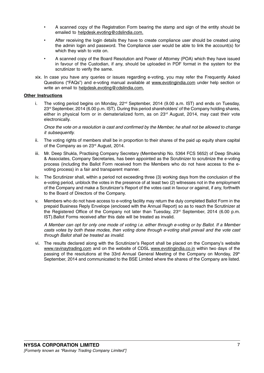- A scanned copy of the Registration Form bearing the stamp and sign of the entity should be emailed to helpdesk.evoting@cdslindia.com.
- After receiving the login details they have to create compliance user should be created using the admin login and password. The Compliance user would be able to link the account(s) for which they wish to vote on.
- A scanned copy of the Board Resolution and Power of Attorney (POA) which they have issued in favour of the Custodian, if any, should be uploaded in PDF format in the system for the scrutinizer to verify the same.
- xix. In case you have any queries or issues regarding e-voting, you may refer the Frequently Asked Questions ("FAQs") and e-voting manual available at www.evotingindia.com under help section or write an email to helpdesk.evoting@cdslindia.com.

# Other Instructions

i. The voting period begins on Monday,  $22<sup>nd</sup>$  September, 2014 (9.00 a.m. IST) and ends on Tuesday, 23<sup>rd</sup> September, 2014 (6.00 p.m. IST). During this period shareholders' of the Company holding shares, either in physical form or in dematerialized form, as on 23<sup>rd</sup> August, 2014, may cast their vote electronically.

Once the vote on a resolution is cast and confirmed by the Member, he shall not be allowed to change it subsequently.

- ii. The voting rights of members shall be in proportion to their shares of the paid up equity share capital of the Company as on 23<sup>rd</sup> August, 2014.
- iii. Mr. Deep Shukla, Practising Company Secretary (Membership No. 5364 FCS 5652) of Deep Shukla & Associates, Company Secretaries, has been appointed as the Scrutinizer to scrutinize the e-voting process (including the Ballot Form received from the Members who do not have access to the evoting process) in a fair and transparent manner.
- iv. The Scrutinizer shall, within a period not exceeding three (3) working days from the conclusion of the e-voting period, unblock the votes in the presence of at least two (2) witnesses not in the employment of the Company and make a Scrutinizer's Report of the votes cast in favour or against, if any, forthwith to the Board of Directors of the Company.
- v. Members who do not have access to e-voting facility may return the duly completed Ballot Form in the prepaid Business Reply Envelope (enclosed with the Annual Report) so as to reach the Scrutinizer at the Registered Office of the Company not later than Tuesday, 23<sup>rd</sup> September, 2014 (6.00 p.m. IST).Ballot Forms received after this date will be treated as invalid.

A Member can opt for only one mode of voting i.e. either through e-voting or by Ballot. If a Member casts votes by both these modes, then voting done through e-voting shall prevail and the vote cast through Ballot shall be treated as invalid.

vi. The results declared along with the Scrutinizer's Report shall be placed on the Company's website www.ravinaytrading.com and on the website of CDSL www.evotingindia.co.in within two days of the passing of the resolutions at the 33rd Annual General Meeting of the Company on Monday, 29<sup>th</sup> September, 2014 and communicated to the BSE Limited where the shares of the Company are listed.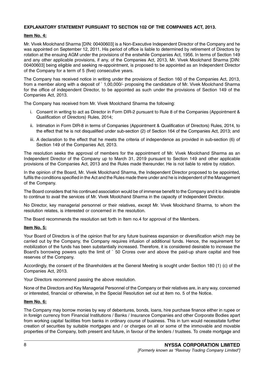# EXPLANATORY STATEMENT PURSUANT TO SECTION 102 OF THE COMPANIES ACT, 2013.

### Item No. 4:

Mr. Vivek Moolchand Sharma [DIN: 00400603] is a Non-Executive Independent Director of the Company and he was appointed on September 12, 2011. His period of office is liable to determined by retirement of Directors by rotation at the ensuing AGM under the provisions of the erstwhile Companies Act, 1956. In terms of Section 149 and any other applicable provisions, if any, of the Companies Act, 2013, Mr. Vivek Moolchand Sharma [DIN: 00400603] being eligible and seeking re-appointment, is proposed to be appointed as an Independent Director of the Company for a term of 5 (five) consecutive years.

The Company has received notice in writing under the provisions of Section 160 of the Companies Act, 2013, from a member along with a deposit of ` 1,00,000/- proposing the candidature of Mr. Vivek Moolchand Sharma for the office of independent Director, to be appointed as such under the provisions of Section 149 of the Companies Act, 2013.

The Company has received from Mr. Vivek Moolchand Sharma the following:

- i. Consent in writing to act as Director in Form DIR-2 pursuant to Rule 8 of the Companies (Appointment & Qualification of Directors) Rules, 2014;
- ii. Intimation in Form DIR-8 in terms of Companies (Appointment & Qualification of Directors) Rules, 2014, to the effect that he is not disqualified under sub-section (2) of Section 164 of the Companies Act, 2013; and
- iii. A declaration to the effect that he meets the criteria of independence as provided in sub-section (6) of Section 149 of the Companies Act, 2013.

The resolution seeks the approval of members for the appointment of Mr. Vivek Moolchand Sharma as an Independent Director of the Company up to March 31, 2019 pursuant to Section 149 and other applicable provisions of the Companies Act, 2013 and the Rules made thereunder. He is not liable to retire by rotation.

In the opinion of the Board, Mr. Vivek Moolchand Sharma, the Independent Director proposed to be appointed, fulfils the conditions specified in the Act and the Rules made there under and he is independent of the Management of the Company.

The Board considers that his continued association would be of immense benefit to the Company and it is desirable to continue to avail the services of Mr. Vivek Moolchand Sharma in the capacity of Independent Director.

No Director, key managerial personnel or their relatives, except Mr. Vivek Moolchand Sharma, to whom the resolution relates, is interested or concerned in the resolution.

The Board recommends the resolution set forth in Item no.4 for approval of the Members.

#### Item No. 5:

Your Board of Directors is of the opinion that for any future business expansion or diversification which may be carried out by the Company, the Company requires infusion of additional funds. Hence, the requirement for mobilization of the funds has been substantially increased. Therefore, it is considered desirable to increase the Board's borrowing powers upto the limit of ` 50 Crores over and above the paid-up share capital and free reserves of the Company.

Accordingly, the consent of the Shareholders at the General Meeting is sought under Section 180 (1) (c) of the Companies Act, 2013.

Your Directors recommend passing the above resolution.

None of the Directors and Key Managerial Personnel of the Company or their relatives are, in any way, concerned or interested, financial or otherwise, in the Special Resolution set out at item no. 5 of the Notice.

#### Item No. 6:

The Company may borrow monies by way of debentures, bonds, loans, hire purchase finance either in rupee or in foreign currency from Financial Institutions / Banks / Insurance Companies and other Corporate Bodies apart from working capital facilities from banks in ordinary course of business. This in turn would necessitate further creation of securities by suitable mortgages and / or charges on all or some of the immovable and movable properties of the Company, both present and future, in favour of the lenders / trustees. To create mortgage and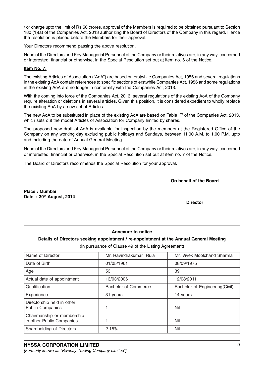/ or charge upto the limit of Rs.50 crores, approval of the Members is required to be obtained pursuant to Section 180 (1)(a) of the Companies Act, 2013 authorizing the Board of Directors of the Company in this regard. Hence the resolution is placed before the Members for their approval.

Your Directors recommend passing the above resolution.

None of the Directors and Key Managerial Personnel of the Company or their relatives are, in any way, concerned or interested, financial or otherwise, in the Special Resolution set out at item no. 6 of the Notice.

# Item No. 7:

The existing Articles of Association ("AoA") are based on erstwhile Companies Act, 1956 and several regulations in the existing AoA contain references to specific sections of erstwhile Companies Act, 1956 and some regulations in the existing AoA are no longer in conformity with the Companies Act, 2013.

With the coming into force of the Companies Act, 2013, several regulations of the existing AoA of the Company require alteration or deletions in several articles. Given this position, it is considered expedient to wholly replace the existing AoA by a new set of Articles.

The new AoA to be substituted in place of the existing AoA are based on Table 'F' of the Companies Act, 2013, which sets out the model Articles of Association for Company limited by shares.

The proposed new draft of AoA is available for inspection by the members at the Registered Office of the Company on any working day excluding public holidays and Sundays, between 11.00 A.M. to 1.00 P.M. upto and including the date of Annual General Meeting.

None of the Directors and Key Managerial Personnel of the Company or their relatives are, in any way, concerned or interested, financial or otherwise, in the Special Resolution set out at item no. 7 of the Notice.

The Board of Directors recommends the Special Resolution for your approval.

On behalf of the Board

Place : Mumbai Date: 30th August, 2014

**Director** 

# Annexure to notice

Details of Directors seeking appointment / re-appointment at the Annual General Meeting

(In pursuance of Clause 49 of the Listing Agreement)

| Name of Director                                        | Mr. Ravindrakumar Ruia      | Mr. Vivek Moolchand Sharma     |
|---------------------------------------------------------|-----------------------------|--------------------------------|
| Date of Birth                                           | 01/05/1961                  | 08/09/1975                     |
| Age                                                     | 53                          | 39                             |
| Actual date of appointment                              | 13/03/2006                  | 12/08/2011                     |
| Qualification                                           | <b>Bachelor of Commerce</b> | Bachelor of Engineering(Civil) |
| Experience                                              | 31 years                    | 14 years                       |
| Directorship held in other<br><b>Public Companies</b>   |                             | Nil                            |
| Chairmanship or membership<br>in other Public Companies |                             | Nil                            |
| Shareholding of Directors                               | 2.15%                       | Nil                            |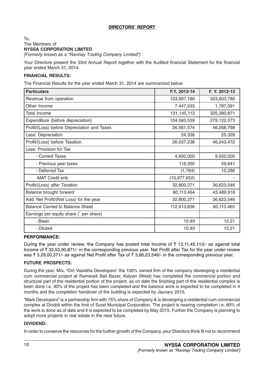# DIRECTORS' REPORT

# To, The Members of NYSSA CORPORATION LIMITED

[Formerly known as a "Ravinay Trading Company Limited"]

Your Directors present the 33rd Annual Report together with the Audited financial Statement for the financial year ended March 31, 2014.

# FINANCIAL RESULTS:

The Financial Results for the year ended March 31, 2014 are summarized below:

| <b>Particulars</b>                          | F.Y. 2013-14   | F. Y. 2012-13 |
|---------------------------------------------|----------------|---------------|
| Revenue from operation                      | 123,697,180    | 323,603,780   |
| Other Income                                | 7,447,933      | 1,787,091     |
| Total Income                                | 131, 145, 113  | 325,390,871   |
| Expenditure (before depreciation)           | 104,583,539    | 279,122,073   |
| Profit/(Loss) before Depreciation and Taxes | 26,561,574     | 46,268,798    |
| Less: Depreciation                          | 24,336         | 25,326        |
| Profit/(Loss) before Taxation               | 26,537,238     | 46,243,472    |
| Less: Provision for Tax                     |                |               |
| - Current Taxes                             | 4,600,000      | 9,550,000     |
| - Previous year taxes                       | 116,302        | 59,641        |
| - Deferred Tax                              | (1,784)        | 10,286        |
| -MAT Credit enti.                           | (10, 977, 652) |               |
| Profit/(Loss) after Taxation                | 32,800,371     | 36,623,546    |
| Balance brought forward                     | 80,113,464     | 43,489,918    |
| Add: Net Profit/(Net Loss) for the year     | 32,800,371     | 36,623,546    |
| <b>Balance Carried to Balance Sheet</b>     | 112,913,836    | 80,113,465    |
| Earnings per equity share (`per share)      |                |               |
| - Basic                                     | 10.93          | 12.21         |
| - Diluted                                   | 10.93          | 12.21         |

# PERFORMANCE:

During the year under review, the Company has posted total Income of  $\bar{\tau}$  13,11,45,113/- as against total Income of  $\bar{\tau}$  32,53,90,871/- in the corresponding previous year. Net Profit after Tax for the year under review was  $\bar{\tau}$  3,28,00,371/- as against Net Profit after Tax of  $\bar{\tau}$  3,66,23,546/- in the corresponding previous year.

# FUTURE PROSPECTS:

During the year, M/s. "Om Vasistha Developers" the 100% owned firm of the company developing a residential cum commercial project at Ramwadi Bail Bazar, Kalyan (West) has completed the commercial portion and structural part of the residential portion of the project, as on date the finishing part of the residential complex is been done i.e. 90% of the project has been completed and the balance work is expected to be completed in 4 months and the completion handover of the building is expected by Jaunary 2015.

"Mark Developers" is a partnership firm with 75% share of Company & is developing a residential cum commercial complex at Dindoli within the limit of Surat Municipal Corporation. The project is nearing completion i.e. 80% of the work is done as of date and it is expected to be completed by May 2015. Further the Company is planning to adopt more projects in real estate in the near future.

# DIVIDEND:

In order to conserve the resources for the further growth of the Company, your Directors think fit not to recommend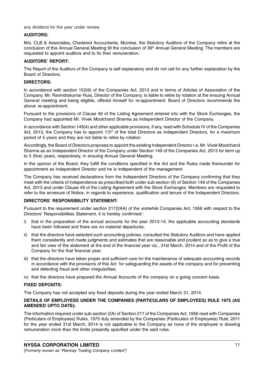any dividend for the year under review.

# AUDITORS:

M/s. CLB & Associates, Chartered Accountants, Mumbai, the Statutory Auditors of the Company retire at the conclusion of this Annual General Meeting till the conclusion of 36<sup>th</sup> Annual General Meeting. The members are requested to appoint auditors and to fix their remuneration.

# AUDITORS' REPORT:

The Report of the Auditors of the Company is self explanatory and do not call for any further explanation by the Board of Directors.

#### DIRECTORS:

In accordance with section 152(6) of the Companies Act, 2013 and in terms of Articles of Association of the Company, Mr. Ravindrakumar Ruia, Director of the Company, is liable to retire by rotation at the ensuing Annual General meeting and being eligible, offered himself for re-appointment. Board of Directors recommends the above re-appointment.

Pursuant to the provisions of Clause 49 of the Listing Agreement entered into with the Stock Exchanges, the Company had appointed Mr. Vivek Moolchand Sharma as Independent Director of the Company.

In accordance with Section 149(4) and other applicable provisions, if any, read with Schedule IV of the Companies Act, 2013, the Company has to appoint 1/3<sup>rd</sup> of the total Directors as Independent Directors, for a maximum period of 5 years and they are not liable to retire by rotation.

Accordingly, the Board of Directors proposes to appoint the existing Independent Director i.e. Mr. Vivek Moolchand Sharma as an Independent Director of the Company under Section 149 of the Companies Act, 2013 for term up to 5 (five) years, respectively, in ensuing Annual General Meeting.

In the opinion of the Board, they fulfill the conditions specified in the Act and the Rules made thereunder for appointment as Independent Director and he is independent of the management.

The Company has received declarations from the Independent Directors of the Company confirming that they meet with the criteria of independence as prescribed both under sub-section (6) of Section 149 of the Companies Act, 2013 and under Clause 49 of the Listing Agreement with the Stock Exchanges. Members are requested to refer to the annexure of Notice, in regards to experience, qualification and tenure of the Independent Directors.

#### DIRECTORS' RESPONSIBILITY STATEMENT:

Pursuant to the requirement under section 217(2AA) of the erstwhile Companies Act, 1956 with respect to the Directors' Responsibilities Statement, it is hereby confirmed:-

- i) that in the preparation of the annual accounts for the year 2013-14, the applicable accounting standards have been followed and there are no material departures;
- ii) that the directors have selected such accounting policies, consulted the Statutory Auditors and have applied them consistently and made judgments and estimates that are reasonable and prudent so as to give a true and fair view of the statement at the end of the financial year viz., 31st March, 2014 and of the Profit of the Company for the that financial year;
- iii) that the directors have taken proper and sufficient care for the maintenance of adequate accounting records in accordance with the provisions of this Act for safeguarding the assets of the company and for preventing and detecting fraud and other irregularities;
- iv) that the directors have prepared the Annual Accounts of the company on a going concern basis.

# FIXED DEPOSITS:

The Company has not accepted any fixed deposits during the year ended March 31, 2014.

# DETAILS OF EMPLOYESS UNDER THE COMPANIES (PARTICULARS OF EMPLOYEES) RULE 1975 (AS AMENDED UPTO DATE):

The information required under sub-section (2A) of Section 217 of the Companies Act, 1956 read with Companies (Particulars of Employees) Rules, 1975 duly amended by the Companies (Particulars of Employees) Rule, 2011 for the year ended 31st March, 2014 is not applicable to the Company as none of the employee is drawing remuneration more than the limits presently specified under the said rules.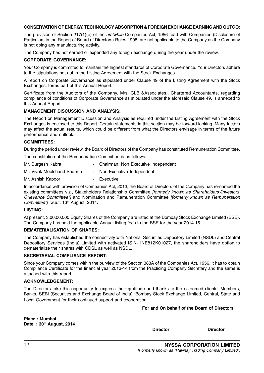# CONSERVATION OF ENERGY, TECHNOLOGY ABSORPTION & FOREIGN EXCHANGE EARNING AND OUTGO:

The provision of Section 217(1)(e) of the *erstwhile* Companies Act, 1956 read with Companies (Disclosure of Particulars in the Report of Board of Directors) Rules 1998, are not applicable to the Company as the Company is not doing any manufacturing activity.

The Company has not earned or expended any foreign exchange during the year under the review.

# CORPORATE GOVERNANCE:

Your Company is committed to maintain the highest standards of Corporate Governance. Your Directors adhere to the stipulations set out in the Listing Agreement with the Stock Exchanges.

A report on Corporate Governance as stipulated under Clause 49 of the Listing Agreement with the Stock Exchanges, forms part of this Annual Report.

Certificate from the Auditors of the Company, M/s. CLB &Associates., Chartered Accountants, regarding compliance of conditions of Corporate Governance as stipulated under the aforesaid Clause 49, is annexed to this Annual Report.

# MANAGEMENT DISCUSSION AND ANALYSIS:

The Report on Management Discussion and Analysis as required under the Listing Agreement with the Stock Exchanges is enclosed to this Report. Certain statements in this section may be forward looking. Many factors may affect the actual results, which could be different from what the Directors envisage in terms of the future performance and outlook.

# COMMITTEES:

During the period under review, the Board of Directors of the Company has constituted Remuneration Committee.

The constitution of the Remuneration Committee is as follows:

| Mr. Durgesh Kabra          | - Chairman, Non Executive Independent |
|----------------------------|---------------------------------------|
| Mr. Vivek Moolchand Sharma | - Non-Executive Independent           |
| Mr. Ashish Kapoor          | - Executive                           |

In accordance with provision of Companies Act, 2013, the Board of Directors of the Company has re-named the existing committees viz., Stakeholders Relationship Committee [formerly known as Shareholders'/Investors' Grievance Committee"] and Nomination and Remuneration Committee [formerly known as Remuneration Committee"] w.e.f. 13<sup>th</sup> August, 2014.

# LISTING:

At present, 3,00,00,000 Equity Shares of the Company are listed at the Bombay Stock Exchange Limited (BSE). The Company has paid the applicable Annual listing fees to the BSE for the year 2014-15.

# DEMATERIALISATION OF SHARES:

The Company has established the connectivity with National Securities Depository Limited (NSDL) and Central Depository Services (India) Limited with activated ISIN- INE812K01027, the shareholders have option to dematerialize their shares with CDSL as well as NSDL.

# SECRETARIAL COMPLIANCE REPORT:

Since your Company comes within the purview of the Section 383A of the Companies Act, 1956, it has to obtain Compliance Certificate for the financial year 2013-14 from the Practicing Company Secretary and the same is attached with this report.

# ACKNOWLEDGEMENT:

The Directors take this opportunity to express their gratitude and thanks to the esteemed clients, Members, Banks, SEBI (Securities and Exchange Board of India), Bombay Stock Exchange Limited, Central, State and Local Government for their continued support and cooperation.

# For and On behalf of the Board of Directors

Place : Mumbai Date:  $30<sup>th</sup>$  August, 2014

Director Director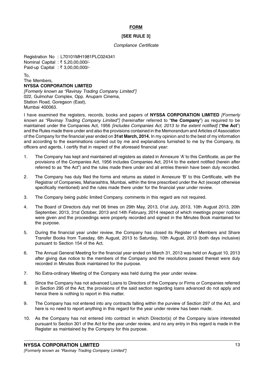# FORM

# [SEE RULE 3]

#### Compliance Certificate

Registration No : L70101MH1981PLC024341 Nominal Capital : ₹5,20,00,000/-Paid-up Capital : ₹ 3,00,00,000/-

To,

#### The Members, NYSSA CORPORATION LIMITED

[Formerly known as "Ravinay Trading Company Limited"] 022, Gulmohar Complex, Opp. Anupam Cinema, Station Road, Goregaon (East), Mumbai 400063.

I have examined the registers, records, books and papers of NYSSA CORPORATION LIMITED [Formerly known as "Ravinay Trading Company Limited"] (hereinafter referred to "the Company") as required to be maintained under the Companies Act, 1956 *[includes Companies Act, 2013 to the extent notified]* ("the Act") and the Rules made there under and also the provisions contained in the Memorandum and Articles of Association of the Company for the financial year ended on 31st March, 2014. In my opinion and to the best of my information and according to the examinations carried out by me and explanations furnished to me by the Company, its officers and agents, I certify that in respect of the aforesaid financial year:

- 1. The Company has kept and maintained all registers as stated in Annexure 'A' to this Certificate, as per the provisions of the Companies Act, 1956 includes Companies Act, 2014 to the extent notified (herein after referred to as "the Act") and the rules made there under and all entries therein have been duly recorded.
- 2. The Company has duly filed the forms and returns as stated in Annexure 'B' to this Certificate, with the Registrar of Companies, Maharashtra, Mumbai, within the time prescribed under the Act (except otherwise specifically mentioned) and the rules made there under for the financial year under review.
- 3. The Company being public limited Company, comments in this regard are not required.
- 4. The Board of Directors duly met 06 times on 29th May, 2013, 01st July, 2013, 10th August 2013, 20th September, 2013, 31st October, 2013 and 14th February, 2014 respect of which meetings proper notices were given and the proceedings were properly recorded and signed in the Minutes Book maintained for the purpose.
- 5. During the financial year under review, the Company has closed its Register of Members and Share Transfer Books from Tuesday, 6th August, 2013 to Saturday, 10th August, 2013 (both days inclusive) pursuant to Section 154 of the Act.
- 6. The Annual General Meeting for the financial year ended on March 31, 2013 was held on August 10, 2013 after giving due notice to the members of the Company and the resolutions passed thereat were duly recorded in Minutes Book maintained for the purpose.
- 7. No Extra-ordinary Meeting of the Company was held during the year under review.
- 8. Since the Company has not advanced Loans to Directors of the Company or Firms or Companies referred in Section 295 of the Act, the provisions of the said section regarding loans advanced do not apply and hence there is nothing to report in this matter.
- 9. The Company has not entered into any contracts falling within the purview of Section 297 of the Act, and here is no need to report anything in this regard for the year under review has been made.
- 10. As the Company has not entered into contract in which Director(s) of the Company is/are interested pursuant to Section 301 of the Act for the year under review, and no any entry in this regard is made in the Register as maintained by the Company for this purpose.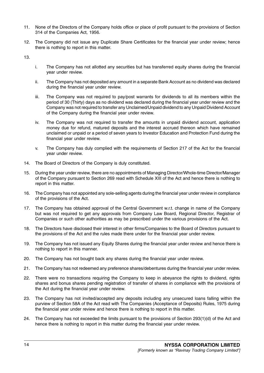- 11. None of the Directors of the Company holds office or place of profit pursuant to the provisions of Section 314 of the Companies Act, 1956.
- 12. The Company did not issue any Duplicate Share Certificates for the financial year under review; hence there is nothing to report in this matter.

13.

- i. The Company has not allotted any securities but has transferred equity shares during the financial year under review.
- ii. The Company has not deposited any amount in a separate Bank Account as no dividend was declared during the financial year under review.
- iii. The Company was not required to pay/post warrants for dividends to all its members within the period of 30 (Thirty) days as no dividend was declared during the financial year under review and the Company was not required to transfer any Unclaimed/Unpaid dividend to any Unpaid Dividend Account of the Company during the financial year under review.
- iv. The Company was not required to transfer the amounts in unpaid dividend account, application money due for refund, matured deposits and the interest accrued thereon which have remained unclaimed or unpaid or a period of seven years to Investor Education and Protection Fund during the financial year under review.
- v. The Company has duly complied with the requirements of Section 217 of the Act for the financial year under review.
- 14. The Board of Directors of the Company is duly constituted.
- 15. During the year under review, there are no appointments of Managing Director/Whole-time Director/Manager of the Company pursuant to Section 269 read with Schedule XIII of the Act and hence there is nothing to report in this matter.
- 16. The Company has not appointed any sole-selling agents during the financial year under review in compliance of the provisions of the Act.
- 17. The Company has obtained approval of the Central Government w.r.t. change in name of the Company but was not required to get any approvals from Company Law Board, Regional Director, Registrar of Companies or such other authorities as may be prescribed under the various provisions of the Act.
- 18. The Directors have disclosed their interest in other firms/Companies to the Board of Directors pursuant to the provisions of the Act and the rules made there under for the financial year under review.
- 19. The Company has not issued any Equity Shares during the financial year under review and hence there is nothing to report in this manner.
- 20. The Company has not bought back any shares during the financial year under review.
- 21. The Company has not redeemed any preference shares/debentures during the financial year under review.
- 22. There were no transactions requiring the Company to keep in abeyance the rights to dividend, rights shares and bonus shares pending registration of transfer of shares in compliance with the provisions of the Act during the financial year under review.
- 23. The Company has not invited/accepted any deposits including any unsecured loans falling within the purview of Section 58A of the Act read with The Companies (Acceptance of Deposits) Rules, 1975 during the financial year under review and hence there is nothing to report in this matter.
- 24. The Company has not exceeded the limits pursuant to the provisions of Section 293(1)(d) of the Act and hence there is nothing to report in this matter during the financial year under review.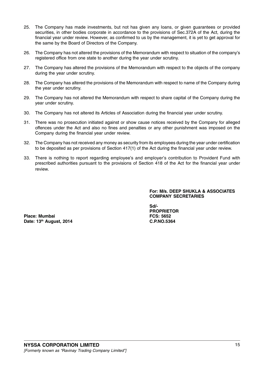- 25. The Company has made investments, but not has given any loans, or given guarantees or provided securities, in other bodies corporate in accordance to the provisions of Sec.372A of the Act, during the financial year under review. However, as confirmed to us by the management, it is yet to get approval for the same by the Board of Directors of the Company.
- 26. The Company has not altered the provisions of the Memorandum with respect to situation of the company's registered office from one state to another during the year under scrutiny.
- 27. The Company has altered the provisions of the Memorandum with respect to the objects of the company during the year under scrutiny.
- 28. The Company has altered the provisions of the Memorandum with respect to name of the Company during the year under scrutiny.
- 29. The Company has not altered the Memorandum with respect to share capital of the Company during the year under scrutiny.
- 30. The Company has not altered its Articles of Association during the financial year under scrutiny.
- 31. There was no prosecution initiated against or show cause notices received by the Company for alleged offences under the Act and also no fines and penalties or any other punishment was imposed on the Company during the financial year under review.
- 32. The Company has not received any money as security from its employees during the year under certification to be deposited as per provisions of Section 417(1) of the Act during the financial year under review.
- 33. There is nothing to report regarding employee's and employer's contribution to Provident Fund with prescribed authorities pursuant to the provisions of Section 418 of the Act for the financial year under review.

For: M/s. DEEP SHUKLA & ASSOCIATES COMPANY SECRETARIES

Place: Mumbai **FCS: 5652** Date: 13<sup>th</sup> August, 2014 **C.P.NO.5364** 

Sd/- PROPRIETOR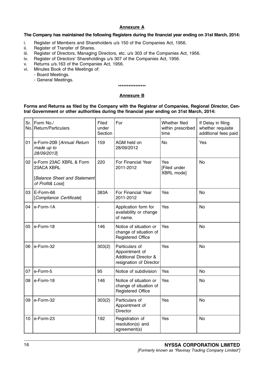# Annexure A

# The Company has maintained the following Registers during the financial year ending on 31st March, 2014:

- i. Register of Members and Shareholders u/s 150 of the Companies Act, 1956.
- ii. Register of Transfer of Shares.
- iii. Register of Directors, Managing Directors, etc. u/s 303 of the Companies Act, 1956.
- iv. Register of Directors' Shareholdings u/s 307 of the Companies Act, 1956.
- v. Returns u/s.163 of the Companies Act, 1956.
- vi. Minutes Book of the Meetings of:
	- Board Meetings.
		- General Meetings.

#### \*\*\*\*\*\*\*\*\*\*\*\*\*\*\*\*

# Annexure B

# Forms and Returns as filed by the Company with the Registrar of Companies, Regional Director, Central Government or other authorities during the financial year ending on 31st March, 2014:

|                 | Sr.   Form No./<br>No. Return/Particulars                                                     | Filed<br>under<br>Section | For                                                                                             | Whether filed<br>within prescribed<br>time | If Delay in filing<br>whether requisite<br>additional fees paid |
|-----------------|-----------------------------------------------------------------------------------------------|---------------------------|-------------------------------------------------------------------------------------------------|--------------------------------------------|-----------------------------------------------------------------|
| 01              | e-Form-20B [Annual Return<br>made up to<br>28/09/2013                                         | 159                       | AGM held on<br>28/09/2012                                                                       | <b>No</b>                                  | Yes                                                             |
|                 | 02 e-Form 23AC XBRL & Form<br>23ACA XBRL<br>[Balance Sheet and Statement]<br>of Profit& Loss] | 220                       | For Financial Year<br>2011-2012                                                                 | Yes<br>[Filed under<br>XBRL mode]          | <b>No</b>                                                       |
| 03              | E-Form-66<br>[Compliance Certificate]                                                         | 383A                      | For Financial Year<br>2011-2012                                                                 | Yes                                        | <b>No</b>                                                       |
|                 | 04 $ e$ -Form-1A                                                                              | ä,                        | Application form for<br>availability or change<br>of name.                                      | Yes                                        | <b>No</b>                                                       |
| 05              | $ e$ -Form-18                                                                                 | 146                       | Notice of situation or<br>change of situation of<br><b>Registered Office</b>                    | Yes                                        | <b>No</b>                                                       |
| 06              | e-Form-32                                                                                     | 303(2)                    | Particulars of<br>Appointment of<br><b>Additional Director &amp;</b><br>resignation of Director | Yes                                        | <b>No</b>                                                       |
|                 | 07   $e$ -Form-5                                                                              | 95                        | Notice of subdivision                                                                           | Yes                                        | <b>No</b>                                                       |
|                 | 08 e-Form-18                                                                                  | 146                       | Notice of situation or<br>change of situation of<br><b>Registered Office</b>                    | Yes                                        | <b>No</b>                                                       |
| 09              | e-Form-32                                                                                     | 303(2)                    | Particulars of<br>Appointment of<br><b>Director</b>                                             | Yes                                        | <b>No</b>                                                       |
| 10 <sup>1</sup> | e-Form-23                                                                                     | 192                       | Registration of<br>resolution(s) and<br>agreement(s)                                            | Yes                                        | <b>No</b>                                                       |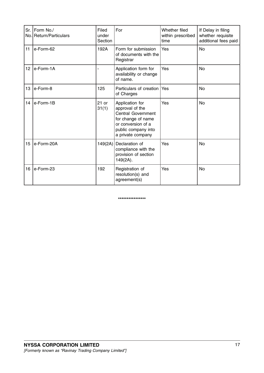|                 | Sr.   Form No./<br>No. Return/Particulars | Filed<br>under<br>Section | For                                                                                                                                                     | Whether filed<br>within prescribed<br>time | If Delay in filing<br>whether requisite<br>additional fees paid |
|-----------------|-------------------------------------------|---------------------------|---------------------------------------------------------------------------------------------------------------------------------------------------------|--------------------------------------------|-----------------------------------------------------------------|
| 11              | e-Form-62                                 | 192A                      | Form for submission<br>of documents with the<br>Registrar                                                                                               | Yes                                        | <b>No</b>                                                       |
| 12 <sub>2</sub> | le-Form-1A                                |                           | Application form for<br>availability or change<br>of name.                                                                                              | Yes                                        | <b>No</b>                                                       |
| 13              | le-Form-8                                 | 125                       | Particulars of creation<br>of Charges                                                                                                                   | Yes                                        | <b>No</b>                                                       |
| 14              | le-Form-1B                                | $21$ or<br>31(1)          | Application for<br>approval of the<br><b>Central Government</b><br>for change of name<br>or conversion of a<br>public company into<br>a private company | Yes                                        | <b>No</b>                                                       |
| 15 <sub>1</sub> | le-Form-20A                               | 149(2A)                   | Declaration of<br>compliance with the<br>provision of section<br>$149(2A)$ .                                                                            | Yes                                        | <b>No</b>                                                       |
| 16              | le-Form-23                                | 192                       | Registration of<br>resolution(s) and<br>agreement(s)                                                                                                    | Yes                                        | <b>No</b>                                                       |

#### \*\*\*\*\*\*\*\*\*\*\*\*\*\*\*\*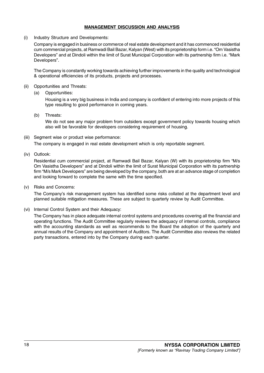# MANAGEMENT DISCUSSION AND ANALYSIS

(i) Industry Structure and Developments:

Company is engaged in business or commerce of real estate development and it has commenced residential cum commercial projects, at Ramwadi Bail Bazar, Kalyan (West) with its proprietorship form i.e. "Om Vasistha Developers" and at Dindoli within the limit of Surat Municipal Corporation with its partnership firm i.e. "Mark Developers".

The Company is constantly working towards achieving further improvements in the quality and technological & operational efficiencies of its products, projects and processes.

- (ii) Opportunities and Threats:
	- (a) Opportunities:

Housing is a very big business in India and company is confident of entering into more projects of this type resulting to good performance in coming years.

(b) Threats:

We do not see any major problem from outsiders except government policy towards housing which also will be favorable for developers considering requirement of housing.

(iii) Segment wise or product wise performance:

The company is engaged in real estate development which is only reportable segment.

(iv) Outlook:

Residential cum commercial project, at Ramwadi Bail Bazar, Kalyan (W) with its proprietorship firm "M/s Om Vasistha Developers" and at Dindoli within the limit of Surat Municipal Corporation with its partnership firm "M/s Mark Developers" are being developed by the company, both are at an advance stage of completion and looking forward to complete the same with the time specified.

(v) Risks and Concerns:

The Company's risk management system has identified some risks collated at the department level and planned suitable mitigation measures. These are subject to quarterly review by Audit Committee.

(vi) Internal Control System and their Adequacy:

The Company has in place adequate internal control systems and procedures covering all the financial and operating functions. The Audit Committee regularly reviews the adequacy of internal controls, compliance with the accounting standards as well as recommends to the Board the adoption of the quarterly and annual results of the Company and appointment of Auditors. The Audit Committee also reviews the related party transactions, entered into by the Company during each quarter.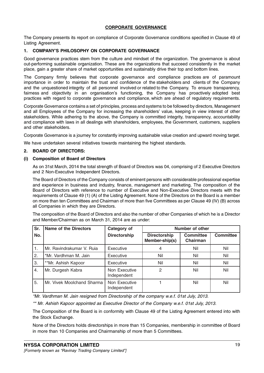# CORPORATE GOVERNANCE

The Company presents its report on compliance of Corporate Governance conditions specified in Clause 49 of Listing Agreement.

# 1. COMPANY'S PHILOSOPHY ON CORPORATE GOVERNANCE

Good governance practices stem from the culture and mindset of the organization. The governance is about out-performing sustainable organization. These are the organizations that succeed consistently in the market place, gain a greater share of market opportunities and sustainably drive their top and bottom lines.

The Company firmly believes that corporate governance and compliance practices are of paramount importance in order to maintain the trust and confidence of the stakeholders and clients of the Company and the unquestioned integrity of all personnel involved or related to the Company. To ensure transparency, fairness and objectivity in an organisation's functioning, the Company has proactively adopted best practices with regard to corporate governance and compliance, which are ahead of regulatory requirements.

Corporate Governance contains a set of principles, process and systems to be followed by directors, Management and all Employees of the Company for increasing the shareholders' value, keeping in view interest of other stakeholders. While adhering to the above, the Company is committed integrity, transparency, accountability and compliance with laws in all dealings with shareholders, employees, the Government, customers, suppliers and other stakeholders.

Corporate Governance is a journey for constantly improving sustainable value creation and upward moving target.

We have undertaken several initiatives towards maintaining the highest standards.

# 2. BOARD OF DIRECTORS:

# (i) Composition of Board of Directors

As on 31st March, 2014 the total strength of Board of Directors was 04, comprising of 2 Executive Directors and 2 Non-Executive Independent Directors.

The Board of Directors of the Company consists of eminent persons with considerable professional expertise and experience in business and industry, finance, management and marketing. The composition of the Board of Directors with reference to number of Executive and Non-Executive Directors meets with the requirements of Clause 49 (1) (A) of the Listing Agreement. None of the Directors on the Board is a member on more than ten Committees and Chairman of more than five Committees as per Clause 49 (IV) (B) across all Companies in which they are Directors.

The composition of the Board of Directors and also the number of other Companies of which he is a Director and Member/Chairman as on March 31, 2014 are as under:

| Sr. | <b>Name of the Directors</b> | Category of                  | Number of other                       |                              |                  |
|-----|------------------------------|------------------------------|---------------------------------------|------------------------------|------------------|
| No. |                              | <b>Directorship</b>          | <b>Directorship</b><br>Member-ship(s) | <b>Committee</b><br>Chairman | <b>Committee</b> |
| 1.  | Mr. Ravindrakumar V. Ruia    | Executive                    | 4                                     | Nil                          | Nil              |
| 2.  | *Mr. Vardhman M. Jain        | Executive                    | Nil                                   | Nil                          | Nil              |
| 3.  | **Mr. Ashish Kapoor          | Executive                    | Nil                                   | Nil                          | Nil              |
| 4.  | Mr. Durgesh Kabra            | Non Executive<br>Independent | $\overline{2}$                        | Nil                          | Nil              |
| 5.  | Mr. Vivek Moolchand Sharma   | Non Executive<br>Independent |                                       | Nil                          | Nil              |

\*Mr. Vardhman M. Jain resigned from Directorship of the company w.e.f. 01st July, 2013.

\*\* Mr. Ashish Kapoor appointed as Executive Director of the Company w.e.f. 01st July, 2013.

The Composition of the Board is in conformity with Clause 49 of the Listing Agreement entered into with the Stock Exchange.

None of the Directors holds directorships in more than 15 Companies, membership in committee of Board in more than 10 Companies and Chairmanship of more than 5 Committees.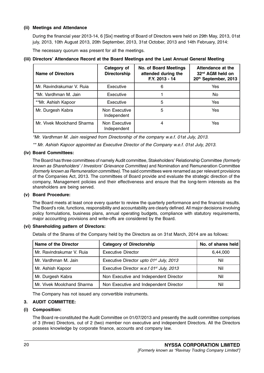# (ii) Meetings and Attendance

During the financial year 2013-14, 6 [Six] meeting of Board of Directors were held on 29th May, 2013, 01st july, 2013, 10th August 2013, 20th September, 2013, 31st October, 2013 and 14th February, 2014:

The necessary quorum was present for all the meetings.

# (iii) Directors' Attendance Record at the Board Meetings and the Last Annual General Meeting

| <b>Name of Directors</b>   | Category of<br><b>Directorship</b> | <b>No. of Board Meetings</b><br>attended during the<br>F.Y. 2013 - 14 | Attendance at the<br>32 <sup>nd</sup> AGM held on<br>20th September, 2013 |
|----------------------------|------------------------------------|-----------------------------------------------------------------------|---------------------------------------------------------------------------|
| Mr. Ravindrakumar V. Ruia  | Executive                          | 6                                                                     | Yes                                                                       |
| *Mr. Vardhman M. Jain      | Executive                          |                                                                       | No.                                                                       |
| **Mr. Ashish Kapoor        | Executive                          | 5                                                                     | Yes                                                                       |
| Mr. Durgesh Kabra          | Non Executive<br>Independent       | 5                                                                     | Yes                                                                       |
| Mr. Vivek Moolchand Sharma | Non Executive<br>Independent       | 4                                                                     | Yes                                                                       |

\*Mr. Vardhman M. Jain resigned from Directorship of the company w.e.f. 01st July, 2013.

\*\* Mr. Ashish Kapoor appointed as Executive Director of the Company w.e.f. 01st July, 2013.

# (iv) Board Committees:

The Board has three committees of namely Audit committee, Stakeholders' Relationship Committee (formerly known as Shareholders' / Investors' Grievance Committee) and Nomination and Remuneration Committee (formerly known as Remuneration committee). The said committees were renamed as per relevant provisions of the Companies Act, 2013. The committees of Board provide and evaluate the strategic direction of the company, Management policies and their effectiveness and ensure that the long-term interests as the shareholders are being served.

# (v) Board Procedure:

The Board meets at least once every quarter to review the quarterly performance and the financial results. The Board's role, functions, responsibility and accountability are clearly defined. All major decisions involving policy formulations, business plans, annual operating budgets, compliance with statutory requirements, major accounting provisions and write-offs are considered by the Board.

# (vi) Shareholding pattern of Directors:

Details of the Shares of the Company held by the Directors as on 31st March, 2014 are as follows:

| Name of the Director       | <b>Category of Directorship</b>                     | No. of shares held |
|----------------------------|-----------------------------------------------------|--------------------|
| Mr. Ravindrakumar V. Ruia  | <b>Executive Director</b>                           | 6,44,000           |
| Mr. Vardhman M. Jain       | Executive Director upto 01 <sup>st</sup> July, 2013 | Nil                |
| Mr. Ashish Kapoor          | Executive Director w.e.f 01st July, 2013            | Nil                |
| Mr. Durgesh Kabra          | Non Executive and Independent Director              | Nil                |
| Mr. Vivek Moolchand Sharma | Non Executive and Independent Director              | Nil                |

The Company has not issued any convertible instruments.

# 3. AUDIT COMMITTEE:

# (i) Composition:

The Board re-constituted the Audit Committee on 01/07/2013 and presently the audit committee comprises of 3 (three) Directors, out of 2 (two) member non executive and independent Directors. All the Directors possess knowledge by corporate finance, accounts and company law.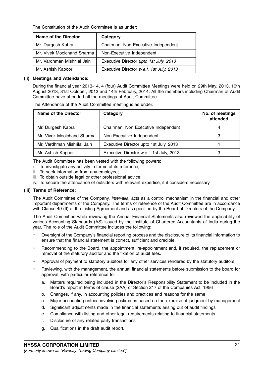The Constitution of the Audit Committee is as under:

| <b>Name of the Director</b> | Category                                 |
|-----------------------------|------------------------------------------|
| Mr. Durgesh Kabra           | Chairman, Non Executive Independent      |
| Mr. Vivek Moolchand Sharma  | Non-Executive Independent                |
| Mr. Vardhman Mishrilal Jain | Executive Director upto 1st July, 2013   |
| Mr. Ashish Kapoor           | Executive Director w.e.f. 1st July, 2013 |

#### (ii) Meetings and Attendance:

During the financial year 2013-14, 4 (four) Audit Committee Meetings were held on 29th May, 2013, 10th August 2013, 31st October, 2013 and 14th February, 2014. All the members including Chairman of Audit Committee have attended all the meetings of Audit Committee.

The Attendance of the Audit Committee meeting is as under:

| <b>Name of the Director</b> | Category                                 | No. of meetings<br>attended |
|-----------------------------|------------------------------------------|-----------------------------|
| Mr. Durgesh Kabra           | Chairman, Non Executive Independent      |                             |
| Mr. Vivek Moolchand Sharma  | Non-Executive Independent                |                             |
| Mr. Vardhman Mishrilal Jain | Executive Director upto 1st July, 2013   |                             |
| Mr. Ashish Kapoor           | Executive Director w.e.f. 1st July, 2013 |                             |

The Audit Committee has been vested with the following powers:

- i. To investigate any activity in terms of its reference;
- ii. To seek information from any employee;
- iii. To obtain outside legal or other professional advice;
- iv. To secure the attendance of outsiders with relevant expertise, if it considers necessary.

#### (iii) Terms of Reference:

The Audit Committee of the Company, inter-alia, acts as a control mechanism in the financial and other important departments of the Company. The terms of reference of the Audit Committee are in accordance with Clause 49 (II) of the Listing Agreement and as specified by the Board of Directors of the Company.

The Audit Committee while reviewing the Annual Financial Statements also reviewed the applicability of various Accounting Standards (AS) issued by the Institute of Chartered Accountants of India during the year. The role of the Audit Committee includes the following:

- Oversight of the Company's financial reporting process and the disclosure of its financial information to ensure that the financial statement is correct, sufficient and credible.
- Recommending to the Board, the appointment, re-appointment and, if required, the replacement or removal of the statutory auditor and the fixation of audit fees.
- Approval of payment to statutory auditors for any other services rendered by the statutory auditors.
- Reviewing, with the management, the annual financial statements before submission to the board for approval, with particular reference to:
	- a. Matters required being included in the Director's Responsibility Statement to be included in the Board's report in terms of clause (2AA) of Section 217 of the Companies Act, 1956
	- b. Changes, if any, in accounting policies and practices and reasons for the same
	- c. Major accounting entries involving estimates based on the exercise of judgment by management
	- d. Significant adjustments made in the financial statements arising out of audit findings
	- e. Compliance with listing and other legal requirements relating to financial statements
	- f. Disclosure of any related party transactions
	- g. Qualifications in the draft audit report.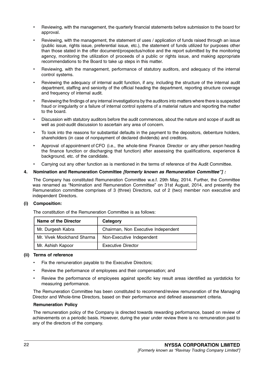- Reviewing, with the management, the quarterly financial statements before submission to the board for approval.
- Reviewing, with the management, the statement of uses / application of funds raised through an issue (public issue, rights issue, preferential issue, etc.), the statement of funds utilized for purposes other than those stated in the offer document/prospectus/notice and the report submitted by the monitoring agency, monitoring the utilization of proceeds of a public or rights issue, and making appropriate recommendations to the Board to take up steps in this matter.
- Reviewing, with the management, performance of statutory auditors, and adequacy of the internal control systems.
- Reviewing the adequacy of internal audit function, if any, including the structure of the internal audit department, staffing and seniority of the official heading the department, reporting structure coverage and frequency of internal audit.
- Reviewing the findings of any internal investigations by the auditors into matters where there is suspected fraud or irregularity or a failure of internal control systems of a material nature and reporting the matter to the board.
- Discussion with statutory auditors before the audit commences, about the nature and scope of audit as well as post-audit discussion to ascertain any area of concern.
- To look into the reasons for substantial defaults in the payment to the depositors, debenture holders, shareholders (in case of nonpayment of declared dividends) and creditors.
- Approval of appointment of CFO (i.e., the whole-time Finance Director or any other person heading the finance function or discharging that function) after assessing the qualifications, experience & background, etc. of the candidate.
- Carrying out any other function as is mentioned in the terms of reference of the Audit Committee.

# 4. Nomination and Remuneration Committee [formerly known as Remuneration Committee"] :

The Company has constituted Remuneration Committee w.e.f. 29th May, 2014. Further, the Committee was renamed as "Nomination and Remuneration Committee" on 31st August, 2014, and presently the Remuneration committee comprises of 3 (three) Directors, out of 2 (two) member non executive and independent Directors.

# (i) Composition:

The constitution of the Remuneration Committee is as follows:

| Name of the Director       | Category                            |
|----------------------------|-------------------------------------|
| Mr. Durgesh Kabra          | Chairman, Non Executive Independent |
| Mr. Vivek Moolchand Sharma | Non-Executive Independent           |
| Mr. Ashish Kapoor          | <b>Executive Director</b>           |

# (ii) Terms of reference

- Fix the remuneration payable to the Executive Directors;
- Review the performance of employees and their compensation; and
- Review the performance of employees against specific key result areas identified as yardsticks for measuring performance.

The Remuneration Committee has been constituted to recommend/review remuneration of the Managing Director and Whole-time Directors, based on their performance and defined assessment criteria.

# Remuneration Policy

The remuneration policy of the Company is directed towards rewarding performance, based on review of achievements on a periodic basis. However, during the year under review there is no remuneration paid to any of the directors of the company.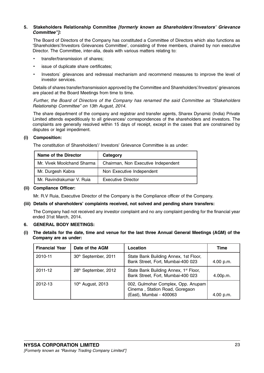# 5. Stakeholders Relationship Committee [formerly known as Shareholders'/Investors' Grievance Committee"]:

The Board of Directors of the Company has constituted a Committee of Directors which also functions as 'Shareholders'/Investors Grievances Committee', consisting of three members, chaired by non executive Director. The Committee, inter-alia, deals with various matters relating to:

- transfer/transmission of shares;
- issue of duplicate share certificates;
- Investors` grievances and redressal mechanism and recommend measures to improve the level of investor services.

Details of shares transfer/transmission approved by the Committee and Shareholders'/Investors' grievances are placed at the Board Meetings from time to time.

Further, the Board of Directors of the Company has renamed the said Committee as "Stakeholders Relationship Committee" on 13th August, 2014.

The share department of the company and registrar and transfer agents, Sharex Dynamic (India) Private Limited attends expeditiously to all grievances/ correspondences of the shareholders and investors. The complaints are generally resolved within 15 days of receipt, except in the cases that are constrained by disputes or legal impediment.

# (i) Composition:

The constitution of Shareholders'/ Investors' Grievance Committee is as under:

| Name of the Director       | Category                            |
|----------------------------|-------------------------------------|
| Mr. Vivek Moolchand Sharma | Chairman, Non Executive Independent |
| Mr. Durgesh Kabra          | Non Executive Independent           |
| Mr. Ravindrakumar V. Ruja  | <b>Executive Director</b>           |

### (ii) Compliance Officer:

Mr. R.V Ruia, Executive Director of the Company is the Compliance officer of the Company.

# (iii) Details of shareholders' complaints received, not solved and pending share transfers:

The Company had not received any investor complaint and no any complaint pending for the financial year ended 31st March, 2014.

# 6. GENERAL BODY MEETINGS:

(i) The details for the date, time and venue for the last three Annual General Meetings (AGM) of the Company are as under:

| <b>Financial Year</b> | Date of the AGM      | Location                                                                                        | Time      |
|-----------------------|----------------------|-------------------------------------------------------------------------------------------------|-----------|
| 2010-11               | 30th September, 2011 | State Bank Building Annex, 1st Floor,<br>Bank Street, Fort, Mumbai-400 023                      | 4.00 p.m. |
| 2011-12               | 28th September, 2012 | State Bank Building Annex, 1 <sup>st</sup> Floor,<br>Bank Street, Fort, Mumbai-400 023          | 4.00 p.m. |
| 2012-13               | 10th August, 2013    | 002, Gulmohar Complex, Opp. Anupam<br>Cinema, Station Road, Goregaon<br>(East), Mumbai - 400063 | 4.00 p.m. |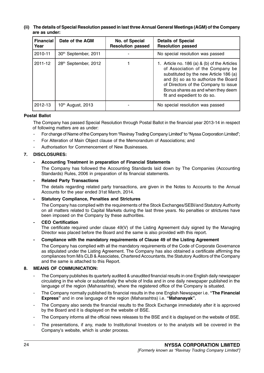### (ii) The details of Special Resolution passed in last three Annual General Meetings (AGM) of the Company are as under:

| <b>Financial</b><br>Year | Date of the AGM      | No. of Special<br><b>Resolution passed</b> | <b>Details of Special</b><br><b>Resolution passed</b>                                                                                                                                                                                                                           |
|--------------------------|----------------------|--------------------------------------------|---------------------------------------------------------------------------------------------------------------------------------------------------------------------------------------------------------------------------------------------------------------------------------|
| 2010-11                  | 30th September, 2011 |                                            | No special resolution was passed                                                                                                                                                                                                                                                |
| 2011-12                  | 28th September, 2012 |                                            | 1. Article no. 186 (a) & (b) of the Articles<br>of Association of the Company be<br>substituted by the new Article 186 (a)<br>and (b) so as to authorize the Board<br>of Directors of the Company to issue<br>Bonus shares as and when they deem<br>fit and expedient to do so. |
| 2012-13                  | 10th August, 2013    |                                            | No special resolution was passed                                                                                                                                                                                                                                                |

# Postal Ballot

The Company has passed Special Resolution through Postal Ballot in the financial year 2013-14 in respect of following matters are as under:

- For change of Name of the Company from "Ravinay Trading Company Limited" to "Nyssa Corporation Limited";
- For Alteration of Main Object clause of the Memorandum of Associations; and
- Authorisation for Commencement of New Businesses.

# 7. DISCLOSURES:

#### Accounting Treatment in preparation of Financial Statements

The Company has followed the Accounting Standards laid down by The Companies (Accounting Standards) Rules, 2006 in preparation of its financial statements.

#### **Related Party Transactions**

The details regarding related party transactions, are given in the Notes to Accounts to the Annual Accounts for the year ended 31st March, 2014.

#### Statutory Compliance, Penalties and Strictures

The Company has complied with the requirements of the Stock Exchanges/SEBI/and Statutory Authority on all matters related to Capital Markets during the last three years. No penalties or strictures have been imposed on the Company by these authorities.

#### CEO Certification

The certificate required under clause 49(V) of the Listing Agreement duly signed by the Managing Director was placed before the Board and the same is also provided with this report.

#### Compliance with the mandatory requirements of Clause 49 of the Listing Agreement

The Company has complied with all the mandatory requirements of the Code of Corporate Governance as stipulated under the Listing Agreement. The Company has also obtained a certificate affirming the compliances from M/s CLB & Associates, Chartered Accountants, the Statutory Auditors of the Company and the same is attached to this Report.

#### 8. MEANS OF COMMUNICATION:

- The Company publishes its quarterly audited & unaudited financial results in one English daily newspaper circulating in the whole or substantially the whole of India and in one daily newspaper published in the language of the region (Maharashtra), where the registered office of the Company is situated.
- The Company normally published its financial results in the one English Newspaper i.e. "The Financial Express" and in one language of the region (Maharashtra) i.e. "Mahanayak".
- The Company also sends the financial results to the Stock Exchange immediately after it is approved by the Board and it is displayed on the website of BSE.
- The Company informs all the official news releases to the BSE and it is displayed on the website of BSE.
- The presentations, if any, made to Institutional Investors or to the analysts will be covered in the Company's website, which is under process.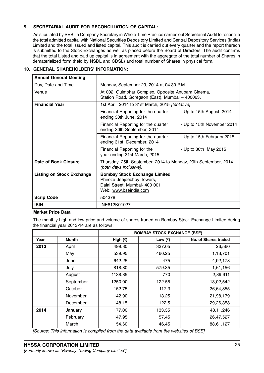# 9. SECRETARIAL AUDIT FOR RECONCILIATION OF CAPITAL:

As stipulated by SEBI, a Company Secretary in Whole Time Practice carries out Secretarial Audit to reconcile the total admitted capital with National Securities Depository Limited and Central Depository Services (India) Limited and the total issued and listed capital. This audit is carried out every quarter and the report thereon is submitted to the Stock Exchanges as well as placed before the Board of Directors. The audit confirms that the total Listed and paid up capital is in agreement with the aggregate of the total number of Shares in dematerialized form (held by NSDL and CDSL) and total number of Shares in physical form.

# 10. GENERAL SHAREHOLDERS' INFORMATION:

| <b>Annual General Meeting</b>    |                                                                                                                              |  |  |
|----------------------------------|------------------------------------------------------------------------------------------------------------------------------|--|--|
| Day, Date and Time               | Monday, September 29, 2014 at 04.30 P.M.                                                                                     |  |  |
| Venue                            | At 002, Gulmohar Complex, Opposite Anupam Cinema,<br>Station Road, Goregaon (East), Mumbai - 400063.                         |  |  |
| <b>Financial Year</b>            | 1st April, 2014 to 31st March, 2015 [tentative]                                                                              |  |  |
|                                  | Financial Reporting for the quarter<br>- Up to 15th August, 2014<br>ending 30th June, 2014                                   |  |  |
|                                  | - Up to 15th November 2014<br>Financial Reporting for the quarter<br>ending 30th September, 2014                             |  |  |
|                                  | Financial Reporting for the quarter<br>- Up to 15th February 2015<br>ending 31st December, 2014                              |  |  |
|                                  | - Up to 30th May 2015<br>Financial Reporting for the<br>year ending 31st March, 2015                                         |  |  |
| Date of Book Closure             | Thursday, 25th September, 2014 to Monday, 29th September, 2014<br>(both days inclusive).                                     |  |  |
| <b>Listing on Stock Exchange</b> | <b>Bombay Stock Exchange Limited</b><br>Phiroze Jeejeebhoy Towers,<br>Dalal Street, Mumbai- 400 001<br>Web: www.bseindia.com |  |  |
| <b>Scrip Code</b>                | 504378                                                                                                                       |  |  |
| <b>ISIN</b>                      | INE812K01027                                                                                                                 |  |  |

# Market Price Data

The monthly high and low price and volume of shares traded on Bombay Stock Exchange Limited during the financial year 2013-14 are as follows:

|      |           | <b>BOMBAY STOCK EXCHANGE (BSE)</b> |           |                      |
|------|-----------|------------------------------------|-----------|----------------------|
| Year | Month     | High $(\overline{\tau})$           | Low $(₹)$ | No. of Shares traded |
| 2013 | April     | 499.30                             | 337.05    | 26,560               |
|      | May       | 539.95                             | 460.25    | 1,13,701             |
|      | June      | 642.25                             | 475       | 4,92,178             |
|      | July      | 818.80                             | 579.35    | 1,61,156             |
|      | August    | 1138.85                            | 770       | 2,89,911             |
|      | September | 1250.00                            | 122.55    | 13,02,542            |
|      | October   | 152.75                             | 117.3     | 26,64,855            |
|      | November  | 142.90                             | 113.25    | 21,98,179            |
|      | December  | 148.15                             | 122.5     | 29,26,358            |
| 2014 | January   | 177.00                             | 133.35    | 48, 11, 246          |
|      | February  | 147.95                             | 57.45     | 26,47,527            |
|      | March     | 54.60                              | 46.45     | 88,61,127            |

[Source: This information is compiled from the data available from the websites of BSE]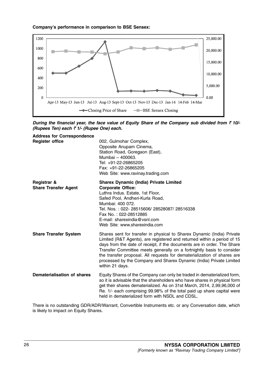# Company's performance in comparison to BSE Sensex:



During the financial year, the face value of Equity Share of the Company sub divided from  $\bar{\tau}$  10/-(Rupees Ten) each  $\bar{\tau}$  1/- (Rupee One) each.

| <b>Address for Correspondence</b><br><b>Register office</b> | 002, Gulmohar Complex,<br>Opposite Anupam Cinema,<br>Station Road, Goregaon (East),<br>Mumbai - 400063.<br>Tel: +91-22-26865205<br>Fax: +91-22-26865205<br>Web Site: www.ravinay.trading.com                                                                                                                                                                                                                                                                               |
|-------------------------------------------------------------|----------------------------------------------------------------------------------------------------------------------------------------------------------------------------------------------------------------------------------------------------------------------------------------------------------------------------------------------------------------------------------------------------------------------------------------------------------------------------|
| Registrar &<br><b>Share Transfer Agent</b>                  | <b>Sharex Dynamic (India) Private Limited</b><br><b>Corporate Office:</b><br>Luthra Indus. Estate, 1st Floor,<br>Safed Pool, Andheri-Kurla Road,<br>Mumbai: 400 072.<br>Tel. Nos.: 022-28515606/28528087/28516338<br>Fax No.: 022-28512885<br>E-mail: sharexindia@vsnl.com<br>Web Site: www.sharexindia.com                                                                                                                                                                |
| <b>Share Transfer System</b>                                | Shares sent for transfer in physical to Sharex Dynamic (India) Private<br>Limited (R&T Agents), are registered and returned within a period of 15<br>days from the date of receipt, if the documents are in order. The Share<br>Transfer Committee meets generally on a fortnightly basis to consider<br>the transfer proposal. All requests for dematerialization of shares are<br>processed by the Company and Sharex Dynamic (India) Private Limited<br>within 21 days. |
| Dematerialisation of shares                                 | Equity Shares of the Company can only be traded in dematerialized form,<br>so it is advisable that the shareholders who have shares in physical form<br>get their shares dematerialized. As on 31st March, 2014, 2,99,96,000 of<br>Re. 1/- each comprising 99.98% of the total paid up share capital were<br>held in dematerialized form with NSDL and CDSL.                                                                                                               |

There is no outstanding GDR/ADR/Warrant, Convertible Instruments etc. or any Conversation date, which is likely to impact on Equity Shares.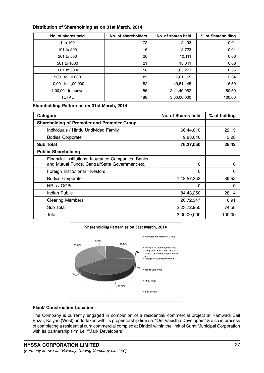# Distribution of Shareholding as on 31st March, 2014

| No. of shares held | No. of shareholders | No. of shares held | % of Shareholding |
|--------------------|---------------------|--------------------|-------------------|
| 1 to 100           | 72                  | 2,493              | 0.01              |
| 101 to 200         | 16                  | 2,722              | 0.01              |
| 201 to 500         | 26                  | 10,111             | 0.03              |
| 501 to 1000        | 21                  | 18,041             | 0.06              |
| 1001 to 5000       | 58                  | 1,65,271           | 0.55              |
| 5001 to 10,000     | 85                  | 7,01,165           | 2.34              |
| 10,001 to 1,00,000 | 152                 | 49,51,145          | 16.50             |
| 1,00,001 to above  | 56                  | 2,41,49,052        | 80.50             |
| <b>TOTAL</b>       | 486                 | 3,00,00,000        | 100.00            |

Shareholding Pattern as on 31st March, 2014

| Category                                                                                              | No. of Shares held | % of holding |
|-------------------------------------------------------------------------------------------------------|--------------------|--------------|
| <b>Shareholding of Promoter and Promoter Group</b>                                                    |                    |              |
| Individuals / Hindu Undivided Family                                                                  | 66,44,010          | 22.15        |
| <b>Bodies Corporate</b>                                                                               | 9,83,040           | 3.28         |
| <b>Sub Total</b>                                                                                      | 76,27,050          | 25.42        |
| <b>Public Shareholding</b>                                                                            |                    |              |
| Financial Institutions, Insurance Companies, Banks<br>and Mutual Funds, Central/State Government etc. | 0                  | O            |
| Foreign Institutional Investors                                                                       | 0                  | 0            |
| <b>Bodies Corporate</b>                                                                               | 1,18,57,353        | 39.52        |
| NRIs / OCBs                                                                                           | 0                  | 0            |
| Indian Public                                                                                         | 84,43,250          | 28.14        |
| <b>Clearing Members</b>                                                                               | 20,72,347          | 6.91         |
| Sub Total                                                                                             | 2,23,72,950        | 74.58        |
| Total                                                                                                 | 3,00,00,000        | 100.00       |



# Plant/ Construction Location:

The Company is currently engaged in completion of a residential/ commercial project at Ramwadi Bail Bazar, Kalyan (West) undertaken with its proprietorship firm i.e. "Om Vasistha Developers" & also in process of completing a residential cum commercial complex at Dindoli within the limit of Surat Municipal Corporation with its partnership firm i.e. "Mark Developers".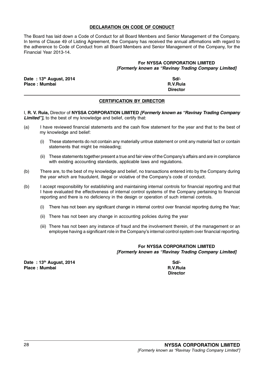# DECLARATION ON CODE OF CONDUCT

The Board has laid down a Code of Conduct for all Board Members and Senior Management of the Company. In terms of Clause 49 of Listing Agreement, the Company has received the annual affirmations with regard to the adherence to Code of Conduct from all Board Members and Senior Management of the Company, for the Financial Year 2013-14.

# For NYSSA CORPORATION LIMITED [Formerly known as "Ravinay Trading Company Limited]

| Date: 13th August, 2014 | Sd/-            |
|-------------------------|-----------------|
| Place: Mumbai           | R.V.Ruja        |
|                         | <b>Director</b> |

# CERTIFICATION BY DIRECTOR

I, R. V. Ruia, Director of NYSSA CORPORATION LIMITED [Formerly known as "Ravinay Trading Company Limited"], to the best of my knowledge and belief, certify that:

- (a) I have reviewed financial statements and the cash flow statement for the year and that to the best of my knowledge and belief:
	- (i) These statements do not contain any materially untrue statement or omit any material fact or contain statements that might be misleading;
	- (ii) These statements together present a true and fair view of the Company's affairs and are in compliance with existing accounting standards, applicable laws and regulations.
- (b) There are, to the best of my knowledge and belief, no transactions entered into by the Company during the year which are fraudulent, illegal or violative of the Company's code of conduct.
- (b) I accept responsibility for establishing and maintaining internal controls for financial reporting and that I have evaluated the effectiveness of internal control systems of the Company pertaining to financial reporting and there is no deficiency in the design or operation of such internal controls.
	- (i) There has not been any significant change in internal control over financial reporting during the Year;
	- (ii) There has not been any change in accounting policies during the year
	- (iii) There has not been any instance of fraud and the involvement therein, of the management or an employee having a significant role in the Company's internal control system over financial reporting.

# For NYSSA CORPORATION LIMITED [Formerly known as "Ravinay Trading Company Limited]

Date : 13<sup>th</sup> August, 2014 Sd/-Place : Mumbai R.V.Ruia

**Director**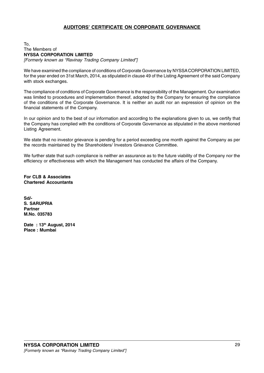# AUDITORS' CERTIFICATE ON CORPORATE GOVERNANCE

#### To, The Members of NYSSA CORPORATION LIMITED [Formerly known as "Ravinay Trading Company Limited"]

We have examined the compliance of conditions of Corporate Governance by NYSSA CORPORATION LIMITED, for the year ended on 31st March, 2014, as stipulated in clause 49 of the Listing Agreement of the said Company with stock exchanges.

The compliance of conditions of Corporate Governance is the responsibility of the Management. Our examination was limited to procedures and implementation thereof, adopted by the Company for ensuring the compliance of the conditions of the Corporate Governance. It is neither an audit nor an expression of opinion on the financial statements of the Company.

In our opinion and to the best of our information and according to the explanations given to us, we certify that the Company has complied with the conditions of Corporate Governance as stipulated in the above mentioned Listing Agreement.

We state that no investor grievance is pending for a period exceeding one month against the Company as per the records maintained by the Shareholders/ Investors Grievance Committee.

We further state that such compliance is neither an assurance as to the future viability of the Company nor the efficiency or effectiveness with which the Management has conducted the affairs of the Company.

For CLB & Associates Chartered Accountants

Sd/- S. SARUPRIA Partner M.No. 035783

Date: 13th August, 2014 Place : Mumbai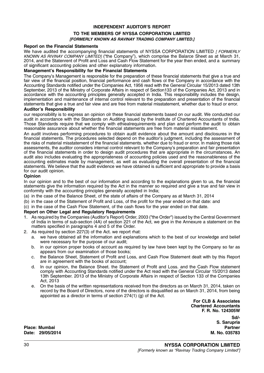#### INDEPENDENT AUDITOR'S REPORT

# TO THE MEMBERS OF NYSSA CORPORATION LIMITED **IFORMERLY KNOWN AS RAVINAY TRADING COMPANY LIMITED.1**

#### Reporl on the Financial Statements

We have audited the accompanying financial statements of NYSSA CORPORATION LIMITED [ FORMERLY KNOWN AS RIVINAY COMPANY LIMITED] ("the Company"), which comprise the Balarce Sheet as at March 31, 2014, and the Statenrent of Profit and Loss and Cash Flow Statement for the year then ended, and a summary of significant accounting policies and other explanatory information.

#### Management's Responsibility for the Financial Statements

The Company's Management is responsible for the preparation of these financial statements that give a true and fair view of the financial position, financial performance and cash flows ol the Company in accordance with the Accounting Standards notified under the Companies Act, 1956 read with the General Circular 15/2013 dated 13th September, 2013 of the Ministry of Corporate Affairs in respect of Section133 of the Companies Act, 2013 and in accordance with the accounting principles generally accepted in India. This responsibility includes the design, implementation and maintenance of internal control relevant to the preparation and presentation of the financial statements that give a true and fair view and are free from material misstatement, whether due to fraud or error.

# Auditor's Responsibility

our responsibility is to express an opinion olr these financial statements based on our audit. We conducted our audit in accordance with the Standards on Auditing issued by the Institute of Chartered Accountants of tndia. Those Standards require that we comply with ethiealrequirements and plan and perform the audit to obtain reasonable assurance about whether the financial statements are free from material misstatement.

An audit involves performing procedures to obtain audit evidence about the amount and disclosures in the financial statements. The procedures selected depend on the auditor's judgment, including the assessment of the risks of material misstatement of the financial statements. whether due to fraud or error. ln making those risk assessments, the auditor considers internal control relevant to the Company's preparation and fair presentation of the financial statements in order to design audit procedures that are appropriate in the circumstances. An audit also includes evaluating the appropriateness of accounting policies used and the reasonableness of the accounting estimates made by management, as well as evaluating the overall presentation of the financial statements. We believe that the audit evidence we have obtained is sufficient and appropriate to provide a basis for our audit opinion.

#### Opinion

In our opinion and to the best of our information and according to the explanations given to us, the financial statements give the information required by the Act in the manner so required and give a true and fair view in conformity with the accounting principles generally accepted in India;

- (a) in the case of the Balance Sheet, of the state of affairs of the Company as at March 31, 2014
- (b) in the case of the Statement of Profit and Loss, of the profit for the year ended on that date: and
- (c) in the case of the Cash Flow Statement, of the cash flows for the year ended on that date.

#### Report on Other Legal and Regulatory Requirements

- 1. As required by the Companies (Auditor's Reporl) Order, 2003 ("the Order") issued by the Central Government of India in terms of sub-section (4A) of section 221 of the Act, we give in the Annexure a statement on the matters specified in paragraphs 4 and 5 of the Order.
- 2. As required by section 227(3) of the Act. we report rhat:
	- a. we have obtained all the information and explanations which to the best of our knowledge and belief were necessary for the purpose of our audit;
	- b. in our opinion proper books of account as required by law have been kept by the Company so far as appears from our examination of those books;
	- c. the Balance Sheet, Statement of Profit and Loss, and Cash Flow Statement dealt with by this Report are in agreement with the books of account;
	- d. In our opinion, the Balance Sheet. the Statement of Profit and Loss. and the Cash Flow statement comply with Accounting Standards notified under the Act read with the General Circular 15/2013 dated 13th September. 2013 of the Ministry of Corporate Affairs in respect of Section 133 of the Companies Act, 2013
	- e. On the basis of the written representations received from the directors as on March 31, 2014, taken on record by the Board of Directors, none of the directors is disqualified as on March 31, 2014, from being appointed as a director in terms of section 274(1) (g) of the Act.

For CLB & Associates Chartered Accountants F. R. No. 124305W Sd/- S. Sarupria

Place: Mumbai Partner Date: 29/05/2014 M. No. 035783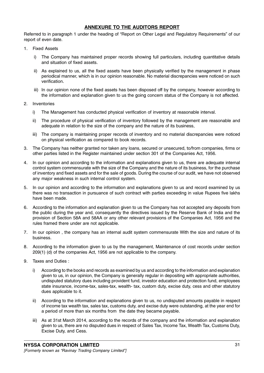# ANNEXURE TO THE AUDITORS REPORT

Referred to in paragraph 1 under the heading of "Report on Other Legal and Regulatory Requirements" of our report of even date.

- 1. Fixed Assets
	- i) The Company has maintained proper records showing full particulars, including quantitative details and situation of fixed assets.
	- ii) As explained to us, all the fixed assets have been physically verified by the management in phase periodical manner, which is in our opinion reasonable. No material discrepancies were noticed on such verification.
	- iii) In our opinion none of the fixed assets has been disposed off by the company, however according to the information and explanation given to us the going concern status of the Company is not affected.
- 2. Inventories
	- i) The Management has conducted physical verification of inventory at reasonable interval.
	- ii) The procedure of physical verification of inventory followed by the management are reasonable and adequate in relation to the size of the company and the nature of its business,
	- iii) The company is maintaining proper records of inventory and no material discrepancies were noticed on physical verification as compared to book records.
- 3. The Company has neither granted nor taken any loans, secured or unsecured, to/from companies, firms or other parties listed in the Register maintained under section 301 of the Companies Act, 1956.
- 4. In our opinion and according to the information and explanations given to us, there are adequate internal control system commensurate with the size of the Company and the nature of its business, for the purchase of inventory and fixed assets and for the sale of goods. During the course of our audit, we have not observed any major weakness in such internal control system.
- 5. In our opinion and according to the information and explanations given to us and record examined by us there was no transaction in pursuance of such contract with parties exceeding in value Rupees five lakhs have been made.
- 6. According to the information and explanation given to us the Company has not accepted any deposits from the public during the year and, consequently the directives issued by the Reserve Bank of India and the provision of Section 58A and 58AA or any other relevant provisions of the Companies Act, 1956 and the rules framed there under are not applicable.
- 7. In our opinion , the company has an internal audit system commensurate With the size and nature of its business.
- 8. According to the information given to us by the management, Maintenance of cost records under section 209(1) (d) of the companies Act, 1956 are not applicable to the company.
- 9. Taxes and Duties :
	- i) According to the books and records as examined by us and according to the information and explanation given to us, in our opinion, the Company is generally regular in depositing with appropriate authorities, undisputed statutory dues including provident fund, investor education and protection fund, employees state insurance, income-tax, sales-tax, wealth- tax, custom duty, excise duty, cess and other statutory dues applicable to it.
	- ii) According to the information and explanations given to us, no undisputed amounts payable in respect of income tax wealth tax, sales tax, customs duty, and excise duty were outstanding, at the year end for a period of more than six months from the date they became payable.
	- iii) As at 31st March 2014, according to the records of the company and the information and explanation given to us, there are no disputed dues in respect of Sales Tax, Income Tax, Wealth Tax, Customs Duty, Excise Duty, and Cess.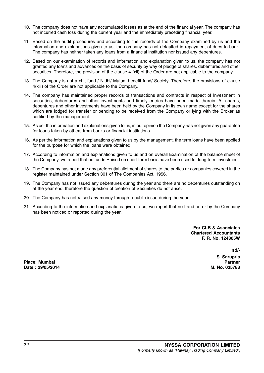- 10. The company does not have any accumulated losses as at the end of the financial year. The company has not incurred cash loss during the current year and the immediately preceding financial year.
- 11. Based on the audit procedures and according to the records of the Company examined by us and the information and explanations given to us, the company has not defaulted in repayment of dues to bank. The company has neither taken any loans from a financial institution nor issued any debentures.
- 12. Based on our examination of records and information and explanation given to us, the company has not granted any loans and advances on the basis of security by way of pledge of shares, debentures and other securities. Therefore, the provision of the clause 4 (xii) of the Order are not applicable to the company.
- 13. The Company is not a chit fund / Nidhi/ Mutual benefit fund/ Society. Therefore, the provisions of clause 4(xiii) of the Order are not applicable to the Company.
- 14. The company has maintained proper records of transactions and contracts in respect of Investment in securities, debentures and other investments and timely entries have been made therein. All shares, debentures and other investments have been held by the Company in its own name except for the shares which are lodged for transfer or pending to be received from the Company or lying with the Broker as certified by the management.
- 15. As per the information and explanations given to us, in our opinion the Company has not given any guarantee for loans taken by others from banks or financial institutions.
- 16. As per the information and explanations given to us by the management, the term loans have been applied for the purpose for which the loans were obtained.
- 17. According to information and explanations given to us and on overall Examination of the balance sheet of the Company, we report that no funds Raised on short-term basis have been used for long-term investment.
- 18. The Company has not made any preferential allotment of shares to the parties or companies covered in the register maintained under Section 301 of The Companies Act, 1956.
- 19. The Company has not issued any debentures during the year and there are no debentures outstanding on at the year end, therefore the question of creation of Securities do not arise.
- 20. The Company has not raised any money through a public issue during the year.
- 21. According to the information and explanations given to us, we report that no fraud on or by the Company has been noticed or reported during the year.

For CLB & Associates Chartered Accountants F. R. No. 124305W

sd/-

S. Sarupria

Place: Mumbai Partner Date : 29/05/2014 M. No. 035783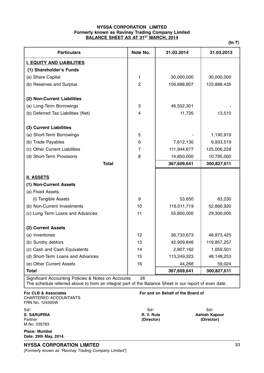# NYSSA CORPORATION LIMITED Formerly known as Ravinay Trading Company Limited BALANCE SHEET AS AT 31<sup>ST</sup> MARCH, 2014

(In  $\bar{z}$ )

| <b>Particulars</b>                                  | Note No.       | 31.03.2014  | 31.03.2013  |
|-----------------------------------------------------|----------------|-------------|-------------|
| <b>I. EQUITY AND LIABILITIES</b>                    |                |             |             |
| (1) Shareholder's Funds                             |                |             |             |
| (a) Share Capital                                   | 1              | 30,000,000  | 30,000,000  |
| (b) Reserves and Surplus                            | $\overline{c}$ | 156,688,807 | 123,888,435 |
| (2) Non-Current Liabilities                         |                |             |             |
| (a) Long-Term Borrowings                            | 3              | 46,502,301  |             |
| (b) Deferred Tax Liabilities (Net)                  | 4              | 11,726      | 13,510      |
|                                                     |                |             |             |
| (3) Current Liabilities                             |                |             |             |
| (a) Short-Term Borrowings                           | 5              |             | 1,190,919   |
| (b) Trade Payables                                  | 6              | 7,612,130   | 9,933,519   |
| (c) Other Current Liabilities                       | $\overline{7}$ | 111,944,677 | 125,006,228 |
| (d) Short-Term Provisions                           | 8              | 14,850,000  | 10,795,000  |
| <b>Total</b>                                        |                | 367,609,641 | 300,827,611 |
|                                                     |                |             |             |
| <b>II. ASSETS</b>                                   |                |             |             |
| (1) Non-Current Assets                              |                |             |             |
| (a) Fixed Assets                                    |                |             |             |
| (i) Tangible Assets                                 | 9              | 53,650      | 63,230      |
| (b) Non-Current Investments                         | 10             | 116,011,719 | 52,866,920  |
| (c) Long Term Loans and Advances                    | 11             | 55,800,000  | 29,300,000  |
| (2) Current Assets                                  |                |             |             |
| (a) Inventories                                     | 12             | 36,733,673  | 48,873,425  |
| (b) Sundry debtors                                  | 13             | 42,909,846  | 119,857,257 |
| (c) Cash and Cash Equivalents                       | 14             | 2,807,162   | 1,659,501   |
| (d) Short-Term Loans and Advances                   | 15             | 113,249,323 | 48,148,253  |
| (e) Other Current Assets                            | 16             | 44,268      | 59,024      |
| <b>Total</b>                                        |                | 367,609,641 | 300,827,611 |
| Significant Accounting Policies & Notes on Accounts | 26             |             |             |

The schedule referred above to form an integral part of the Balance Sheet in our report of even date.

For CLB & Associates For and on Behalf of the Board of CHARTERED ACCOUNTANTS

FRN No. 124305W

Sd/- Sd/- Sd/- Partner (Director) (Director) M.No. 035783

S. SARUPRIA R. V. Ruia Ashish Kapoor

Place: Mumbai Date: 29th May, 2014.

[Formerly known as "Ravinay Trading Company Limited"]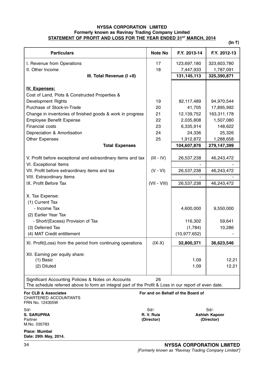# NYSSA CORPORATION LIMITED Formerly known as Ravinay Trading Company Limited STATEMENT OF PROFIT AND LOSS FOR THE YEAR ENDED 31ST MARCH, 2014

(In  $\bar{z}$ )

| <b>Particulars</b>                                                                                                                                                | <b>Note No</b>                                                             | F.Y. 2013-14                                      | F.Y. 2012-13                  |
|-------------------------------------------------------------------------------------------------------------------------------------------------------------------|----------------------------------------------------------------------------|---------------------------------------------------|-------------------------------|
| I. Revenue from Operations                                                                                                                                        | 17                                                                         | 123,697,180                                       | 323,603,780                   |
| II. Other Income                                                                                                                                                  | 18                                                                         | 7,447,933                                         | 1,787,091                     |
| III. Total Revenue (I +II)                                                                                                                                        |                                                                            | 131, 145, 113                                     | 325,390,871                   |
| <b>IV. Expenses:</b><br>Cost of Land, Plots & Constructed Properties &                                                                                            |                                                                            |                                                   |                               |
| Development Rights                                                                                                                                                | 19                                                                         | 82,117,489                                        | 94,970,544                    |
| Purchase of Stock-in-Trade                                                                                                                                        | 20                                                                         | 41,705                                            | 17,895,992                    |
| Change in inventories of finished goods & work in progress                                                                                                        | 21                                                                         | 12,139,752                                        | 163,311,178                   |
| <b>Employee Benefit Expense</b>                                                                                                                                   | 22                                                                         | 2,035,808                                         | 1,507,080                     |
| Financial costs                                                                                                                                                   | 23                                                                         | 6,335,914                                         | 148,622                       |
| Depreciation & Amortisation                                                                                                                                       | 24                                                                         | 24,336                                            | 25,326                        |
| <b>Other Expenses</b>                                                                                                                                             | 25                                                                         | 1,912,872                                         | 1,288,658                     |
| <b>Total Expenses</b>                                                                                                                                             |                                                                            | 104,607,876                                       | 279,147,399                   |
| V. Profit before exceptional and extraordinary items and tax                                                                                                      | $(III - IV)$                                                               | 26,537,238                                        | 46,243,472                    |
| VI. Exceptional Items<br>VII. Profit before extraordinary items and tax                                                                                           | $(V - VI)$                                                                 | 26,537,238                                        | 46,243,472                    |
| VIII. Extraordinary Items                                                                                                                                         |                                                                            |                                                   |                               |
| IX. Profit Before Tax                                                                                                                                             | $(VII - VIII)$                                                             | 26,537,238                                        | 46,243,472                    |
| X. Tax Expense:<br>(1) Current Tax<br>- Income Tax<br>(2) Earlier Year Tax<br>- Short/(Excess) Provision of Tax<br>(3) Deferred Tax<br>(4) MAT Credit entitlement |                                                                            | 4,600,000<br>116,302<br>(1,784)<br>(10, 977, 652) | 9,550,000<br>59,641<br>10,286 |
| XI. Profit(Loss) from the period from continuing operations                                                                                                       | $(IX-X)$                                                                   | 32,800,371                                        | 36,623,546                    |
| XII. Earning per equity share:<br>$(1)$ Basic<br>(2) Diluted                                                                                                      |                                                                            | 1.09<br>1.09                                      | 12.21<br>12.21                |
| Significant Accounting Policies & Notes on Accounts<br>The schedule referred above to form an integral part of the Profit & Loss in our report of even date.      | 26                                                                         |                                                   |                               |
| For CLB & Associates<br>CHARTERED ACCOUNTANTS<br>FRN No. 124305W                                                                                                  |                                                                            | For and on Behalf of the Board of                 |                               |
| Sd/-<br>S. SARUPRIA<br>Partner<br>M.No. 035783                                                                                                                    | Sd<br>Sd<br>R. V. Ruia<br><b>Ashish Kapoor</b><br>(Director)<br>(Director) |                                                   |                               |
| Place: Mumbai<br>Date: 29th May, 2014.                                                                                                                            |                                                                            |                                                   |                               |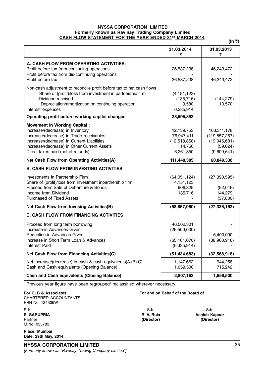# NYSSA CORPORATION LIMITED Formerly known as Ravinay Trading Company Limited CASH FLOW STATEMENT FOR THE YEAR ENDED 31ST MARCH 2014

(In  $\bar{z}$ )

|                                                                                                                                                                                                                                                        | 31.03.2014<br>₹                                                 | 31.03.2013<br>₹                                                           |
|--------------------------------------------------------------------------------------------------------------------------------------------------------------------------------------------------------------------------------------------------------|-----------------------------------------------------------------|---------------------------------------------------------------------------|
| A. CASH FLOW FROM OPERATING ACTIVITIES:<br>Profit before tax from continuing operations<br>Profit before tax from dis-continuing operations<br>Profit before tax                                                                                       | 26,537,238<br>26,537,238                                        | 46,243,472<br>46,243,472                                                  |
| Non-cash adjustment to reconcile profit before tax to net cash flows<br>Share of (profit)/loss from investment in partnership firm<br>Dividend received<br>Depreciation/amortization on continuing operation<br>Interest expenses                      | (4, 151, 123)<br>(135, 716)<br>9,580<br>6,335,914               | (144, 279)<br>10,570                                                      |
| Operating profit before working capital changes                                                                                                                                                                                                        | 28,595,893                                                      |                                                                           |
| <b>Movement in Working Capital:</b><br>Increase/(decrease) in Inventory<br>Increase/(decrease) in Trade receivables<br>Increase/(decrease) in Current Liabilities<br>Increase/(decrease) in Other Current Assets<br>Direct taxes paid (net of refunds) | 12,139,753<br>76,947,411<br>(12,518,858)<br>14,756<br>6,261,350 | 163,311,178<br>(119, 857, 257)<br>(19,045,681)<br>(59,024)<br>(9,609,641) |
| Net Cash Flow from Operating Activities(A)                                                                                                                                                                                                             | 111,440,305                                                     | 60,849,338                                                                |
| <b>B. CASH FLOW FROM INVESTING ACTIVITIES</b>                                                                                                                                                                                                          |                                                                 |                                                                           |
| Investments in Partnership Firm<br>Share of (profit)/loss from investment inpartnership firm<br>Proceed from Sale of Debanture & Bonds<br>Income from Dividend<br><b>Purchased of Fixed Assets</b>                                                     | (64,051,124)<br>4,151,123<br>906,325<br>135,716                 | (27, 390, 595)<br>(52,046)<br>144,279<br>(37, 800)                        |
| Net Cash Flow from Invesing Activities(B)                                                                                                                                                                                                              | (58, 857, 960)                                                  | (27, 336, 162)                                                            |
| <b>C. CASH FLOW FROM FINANCING ACTIVITIES</b>                                                                                                                                                                                                          |                                                                 |                                                                           |
| Proceed from long term borrowing<br>Increase in Advances Given<br>Reduction in Advances Given<br>Increase in Short Term Loan & Advances<br>Interest Paid                                                                                               | 46,502,301<br>(26,500,000)<br>(65, 101, 070)<br>(6,335,914)     | 6,400,000<br>(38,968,918)                                                 |
| Net Cash Flow from Financing Activities(C)                                                                                                                                                                                                             | (51, 434, 683)                                                  | (32,568,918)                                                              |
| Net increase/(decrease) in cash & cash equivalents(A+B+C)<br>Cash and Cash equivalents (Opening Balance)                                                                                                                                               | 1,147,662<br>1,659,500                                          | 944,258<br>715,242                                                        |
| <b>Cash and Cash equivalents (Closing Balance)</b>                                                                                                                                                                                                     | 2,807,162                                                       | 1,659,500                                                                 |

Previous year figure have been regrouped/ reclassified wherever necessary

For CLB & Associates For and on Behalf of the Board of CHARTERED ACCOUNTANTS FRN No. 124305W

Sd/- Sd/- Sd/- Partner (Director) (Director) M.No. 035783

S. SARUPRIA R. V. Ruia Ashish Kapoor

Place: Mumbai Date: 29th May, 2014.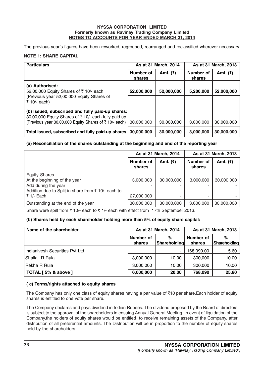# NYSSA CORPORATION LIMITED Formerly known as Ravinay Trading Company Limited NOTES TO ACCOUNTS FOR YEAR ENDED MARCH 31, 2014

The previous year's figures have been reworked, regrouped, rearranged and reclassified wherever necessary

# NOTE 1: SHARE CAPITAL

| <b>Particulars</b>                                                                                       | As at 31 March, 2014<br>As at 31 March, 2013 |            |                     |             |
|----------------------------------------------------------------------------------------------------------|----------------------------------------------|------------|---------------------|-------------|
|                                                                                                          | Number of<br>shares                          | Amt. (₹)   | Number of<br>shares | Amt. $($ ₹) |
| (a) Authorised:<br>52,00,000 Equity Shares of ₹10/- each                                                 | 52,000,000                                   | 52,000,000 | 5,200,000           | 52,000,000  |
| (Previous year 52,00,000 Equity Shares of<br>₹ 10/- each)                                                |                                              |            |                     |             |
| (b) Issued, subscribed and fully paid-up shares:<br>30,00,000 Equity Shares of ₹ 10/- each fully paid up |                                              |            |                     |             |
| (Previous year 30,00,000 Equity Shares of ₹10/- each)                                                    | 30,000,000                                   | 30,000,000 | 3,000,000           | 30,000,000  |
| Total Issued, subscribed and fully paid-up shares                                                        | 30,000,000                                   | 30,000,000 | 3,000,000           | 30,000,000  |

# (a) Reconciliation of the shares outstanding at the beginning and end of the reporting year

|                                                                             | As at 31 March, 2014 |             | As at 31 March, 2013 |             |
|-----------------------------------------------------------------------------|----------------------|-------------|----------------------|-------------|
|                                                                             | Number of<br>shares  | Amt. $($ ₹) | Number of<br>shares  | Amt. $($ ₹) |
| <b>Equity Shares</b><br>At the beginning of the year<br>Add during the year | 3,000,000            | 30,000,000  | 3,000,000            | 30,000,000  |
| Addition due to Split in share from $\bar{\tau}$ 10/- each to<br>₹ 1/- Each | 27,000,000           | ۰           |                      |             |
| Outstanding at the end of the year                                          | 30,000,000           | 30,000,000  | 3,000,000            | 30,000,000  |

Share were spilt from  $\bar{\tau}$  10/- each to  $\bar{\tau}$  1/- each with effect from 17th September 2013.

# (b) Shares held by each shareholder holding more than 5% of equity share capital:

| Name of the shareholder        |                     | As at 31 March, 2014     | As at 31 March, 2013 |                          |
|--------------------------------|---------------------|--------------------------|----------------------|--------------------------|
|                                | Number of<br>shares | %<br><b>Shareholding</b> | Number of<br>shares  | %<br><b>Shareholding</b> |
| Indianivesh Securities Pvt Ltd |                     | ۰                        | 168,090.00           | 5.60                     |
| Shailaji R Ruia                | 3,000,000           | 10.00                    | 300,000              | 10.00                    |
| Rekha R Ruia                   | 3,000,000           | 10.00                    | 300,000              | 10.00                    |
| TOTAL [5% & above ]            | 6,000,000           | 20.00                    | 768,090              | 25.60                    |

# ( c) Terms/rights attached to equity shares

The Company has only one class of equity shares having a par value of  $\bar{\tau}$ 10 per share.Each holder of equity shares is entitled to one vote per share.

The Company declares and pays dividend in Indian Rupees. The dividend proposed by the Board of directors is subject to the approval of the shareholders in ensuing Annual General Meeting. In event of liquidation of the Company,the holders of equity shares would be entitled to receive remaining assets of the Company, after distribution of all preferential amounts. The Distribution will be in proportion to the number of equity shares held by the shareholders.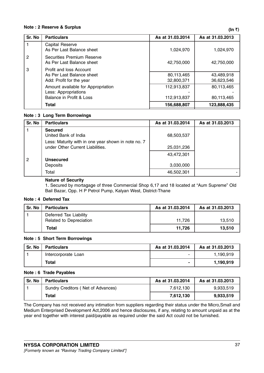# Note : 2 Reserve & Surplus  $(\ln \overline{\zeta})$

| Sr. No | <b>Particulars</b>                                      | As at 31.03.2014 | As at 31.03.2013 |
|--------|---------------------------------------------------------|------------------|------------------|
|        | Capital Reserve<br>As Per Last Balance sheet            | 1,024,970        | 1,024,970        |
| 2      | Securities Premium Reserve<br>As Per Last Balance sheet | 42,750,000       | 42,750,000       |
| 3      | Profit and loss Account                                 |                  |                  |
|        | As Per Last Balance sheet                               | 80,113,465       | 43,489,918       |
|        | Add: Profit for the year                                | 32,800,371       | 36,623,546       |
|        | Amount available for Appropriation                      | 112,913,837      | 80,113,465       |
|        | Less: Appropriations                                    |                  |                  |
|        | Balance in Profit & Loss                                | 112,913,837      | 80,113,465       |
|        | <b>Total</b>                                            | 156,688,807      | 123,888,435      |

# Note : 3 Long Term Borrowings

| Sr. No         | <b>Particulars</b>                                                                      | As at 31.03.2014        | As at 31.03.2013 |
|----------------|-----------------------------------------------------------------------------------------|-------------------------|------------------|
|                | <b>Secured</b><br>United Bank of India                                                  | 68,503,537              |                  |
|                | Less: Maturity with in one year shown in note no. 7<br>under Other Current Liabilities. | 25,031,236              |                  |
| $\overline{2}$ | <b>Unsecured</b><br>Deposits                                                            | 43,472,301<br>3,030,000 |                  |
|                | Total                                                                                   | 46,502,301              |                  |

# Nature of Security

1. Secured by mortagage of three Commercial Shop 6,17 and 18 located at "Aum Supreme" Old Bail Bazar, Opp. H P Petrol Pump, Kalyan West, District-Thane

# Note : 4 Deferred Tax

| Sr. No | <b>Particulars</b>      | As at 31.03.2014 | As at 31.03.2013 |
|--------|-------------------------|------------------|------------------|
|        | Deferred Tax Liability  |                  |                  |
|        | Related to Depreciation | 11.726           | 13.510           |
|        | Total                   | 11.726           | 13,510           |

# Note : 5 Short Term Borrowings

| Sr. No | <b>Particulars</b>  | As at 31.03.2014 | As at 31.03.2013 |
|--------|---------------------|------------------|------------------|
|        | Intercorporate Loan | -                | 1,190,919        |
|        | <b>Total</b>        |                  | 1,190,919        |

#### Note : 6 Trade Payables

| Sr. No | <b>Particulars</b>                 | As at 31.03.2014 | As at 31.03.2013 |
|--------|------------------------------------|------------------|------------------|
|        | Sundry Creditors (Net of Advances) | 7.612.130        | 9,933,519        |
|        | <b>Total</b>                       | 7.612.130        | 9,933,519        |

The Company has not received any intimation from suppliers regarding their status under the Micro,Small and Medium Enterprised Development Act,2006 and hence disclosures, if any, relating to amount unpaid as at the year end together with interest paid/payable as required under the said Act could not be furnished.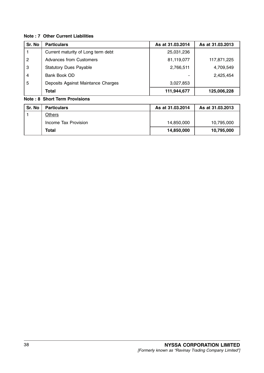# Note : 7 Other Current Liabilities

| Sr. No         | <b>Particulars</b>                 | As at 31.03.2014 | As at 31.03.2013 |
|----------------|------------------------------------|------------------|------------------|
|                | Current maturity of Long term debt | 25,031,236       |                  |
| $\overline{2}$ | Advances from Customers            | 81,119,077       | 117,871,225      |
| 3              | <b>Statutory Dues Payable</b>      | 2,766,511        | 4,709,549        |
| $\overline{4}$ | Bank Book OD                       |                  | 2,425,454        |
| 5              | Deposits Against Maintance Charges | 3,027,853        |                  |
|                | Total                              | 111,944,677      | 125,006,228      |

# Note : 8 Short Term Provisions

| Sr. No | <b>Particulars</b>   | As at 31.03.2014 | As at 31.03.2013 |
|--------|----------------------|------------------|------------------|
|        | Others               |                  |                  |
|        | Income Tax Provision | 14,850,000       | 10,795,000       |
|        | Total                | 14,850,000       | 10,795,000       |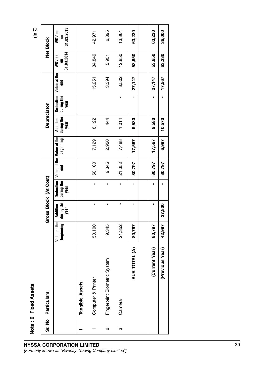| ۰.<br>I | I |
|---------|---|
| .,      |   |
|         |   |

| ö<br>ū<br>ľ<br>J<br>í<br>ľ |  |
|----------------------------|--|
| a<br>$\check{ }$           |  |
| თ                          |  |
| ÷                          |  |

| Sr. No            | Particulars                  |                           |                                       | Gross Block (At Cost)           |        |                                        | Depreciaton                    |                                 |                     |                           | <b>Net Block</b>          |
|-------------------|------------------------------|---------------------------|---------------------------------------|---------------------------------|--------|----------------------------------------|--------------------------------|---------------------------------|---------------------|---------------------------|---------------------------|
|                   |                              | Value at the<br>beginning | during the<br><b>Addition</b><br>year | Deduction<br>during the<br>year | end    | Value at the Value at the<br>beginning | during the<br>Addition<br>year | Deduction<br>during the<br>year | Value at the<br>end | 31.03.2014<br>WDV as<br>5 | 31.03.2013<br>WDV as<br>5 |
|                   | <b>Tangible Assets</b>       |                           |                                       |                                 |        |                                        |                                |                                 |                     |                           |                           |
|                   | Computer & Printer           | 50,100                    | ı                                     | $\blacksquare$                  | 50,100 | 7,129                                  | 8,122                          |                                 | 15,251              | 34,849                    | 42,971                    |
| $\mathbf{\Omega}$ | Fingerprint Biometric System | 9,345                     | ı                                     | ı                               | 9,345  | 2,950                                  | 444                            |                                 | 3,394               | 5,951                     | 6,395                     |
| ო                 | Camera                       | 21,352                    | ı                                     |                                 | 21,352 | 7,488                                  | 1,014                          |                                 | 8,502               | 12,850                    | 13,864                    |
|                   | SUB TOTAL (A)                | 80,797                    | ı                                     | ı                               | 80,797 | 17,567                                 | 9,580                          |                                 | 27,147              | 53,650                    | 63,230                    |
|                   |                              |                           |                                       |                                 |        |                                        |                                |                                 |                     |                           |                           |
|                   | (Current Year)               | 80,797                    |                                       |                                 | 80,797 | 17,567                                 | 9,580                          |                                 | 27,147              | 53,650                    | 63,230                    |
|                   | (Previous Year)              | 42,997                    | 37,800                                |                                 | 80,797 | 6,997                                  | 10,570                         |                                 | 17,567              | 63,230                    | 36,000                    |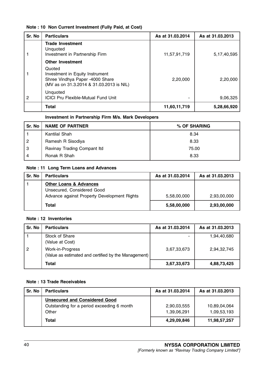# Note : 10 Non Current Investment (Fully Paid, at Cost)

| Sr. No | <b>Particulars</b>                                                                                                       | As at 31.03.2014 | As at 31.03.2013 |
|--------|--------------------------------------------------------------------------------------------------------------------------|------------------|------------------|
|        | <b>Trade Investment</b><br>Unquoted<br>Investment in Partnership Firm                                                    | 11,57,91,719     | 5, 17, 40, 595   |
|        | <b>Other Investment</b>                                                                                                  |                  |                  |
|        | Quoted<br>Investment in Equity Instrument<br>Shree Vindhya Paper -4000 Share<br>(MV as on 31.3.2014 & 31.03.2013 is NIL) | 2,20,000         | 2,20,000         |
| 2      | Unquoted<br><b>ICICI Pru Flexible-Mutual Fund Unit</b>                                                                   |                  | 9,06,325         |
|        | <b>Total</b>                                                                                                             | 11,60,11,719     | 5,28,66,920      |

# Investment in Partnership Firm M/s. Mark Developers

| Sr. No         | <b>NAME OF PARTNER</b>      | % OF SHARING |
|----------------|-----------------------------|--------------|
|                | Kantilal Shah               | 8.34         |
| $\overline{2}$ | Ramesh R Sisodiya           | 8.33         |
| -3             | Ravinay Trading Compant Itd | 75.00        |
| 4              | Ronak R Shah                | 8.33         |

# Note : 11 Long Term Loans and Advances

| Sr. No | <b>Particulars</b>                                                                                             | As at 31.03.2014 | As at 31.03.2013 |
|--------|----------------------------------------------------------------------------------------------------------------|------------------|------------------|
|        | <b>Other Loans &amp; Advances</b><br>Unsecured, Considered Good<br>Advance against Property Development Rights | 5,58,00,000      | 2,93,00,000      |
|        | <b>Total</b>                                                                                                   | 5,58,00,000      | 2,93,00,000      |

# Note : 12 Inventories

| Sr. No         | <b>Particulars</b>                                                       | As at 31.03.2014 | As at 31.03.2013 |
|----------------|--------------------------------------------------------------------------|------------------|------------------|
|                | Stock of Share<br>(Value at Cost)                                        |                  | 1,94,40,680      |
| $\overline{2}$ | Work-in-Progress<br>(Value as estimated and certified by the Management) | 3,67,33,673      | 2.94.32.745      |
|                | Total                                                                    | 3,67,33,673      | 4,88,73,425      |

# Note : 13 Trade Receivables

| Sr. No | <b>Particulars</b>                                                                          | As at 31.03.2014           | As at 31.03.2013            |
|--------|---------------------------------------------------------------------------------------------|----------------------------|-----------------------------|
|        | <b>Unsecured and Considered Good</b><br>Outstanding for a period exceeding 6 month<br>Other | 2,90,03,555<br>1,39,06,291 | 10,89,04,064<br>1,09,53,193 |
|        | Total                                                                                       | 4,29,09,846                | 11,98,57,257                |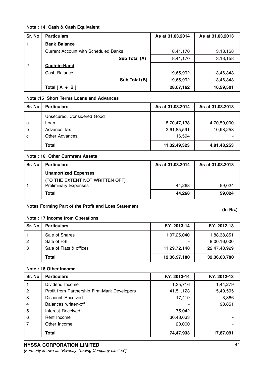# Note : 14 Cash & Cash Equivalent

| Sr. No         | <b>Particulars</b>                          | As at 31.03.2014 | As at 31.03.2013 |
|----------------|---------------------------------------------|------------------|------------------|
|                | <b>Bank Balance</b>                         |                  |                  |
|                | <b>Current Account with Scheduled Banks</b> | 8,41,170         | 3,13,158         |
|                | Sub Total (A)                               | 8,41,170         | 3,13,158         |
| $\overline{2}$ | Cash-in-Hand                                |                  |                  |
|                | Cash Balance                                | 19,65,992        | 13,46,343        |
|                | Sub Total (B)                               | 19,65,992        | 13,46,343        |
|                | Total $[A + B]$                             | 28,07,162        | 16,59,501        |

# Note :15 Short Terms Loans and Advances

| Sr. No | <b>Particulars</b>         | As at 31.03.2014 | As at 31.03.2013 |
|--------|----------------------------|------------------|------------------|
|        | Unsecured, Considered Good |                  |                  |
| a      | Loan                       | 8,70,47,138      | 4,70,50,000      |
| b      | Advance Tax                | 2,61,85,591      | 10,98,253        |
| C      | <b>Other Advances</b>      | 16,594           |                  |
|        | Total                      | 11,32,49,323     | 4,81,48,253      |

# Note : 16 Other Curmrent Assets

| Sr. No | <b>Particulars</b>              | As at 31.03.2014 | As at 31.03.2013 |
|--------|---------------------------------|------------------|------------------|
|        | <b>Unamortized Expenses</b>     |                  |                  |
|        | (TO THE EXTENT NOT WRITTEN OFF) |                  |                  |
|        | <b>Preliminary Expenses</b>     | 44.268           | 59.024           |
|        | <b>Total</b>                    | 44.268           | 59,024           |

# Notes Forming Part of the Profit and Loss Statement (In Rs.) (In Rs.)

# Note : 17 Income from Operations

| Sr. No | <b>Particulars</b>      | F.Y. 2013-14 | F.Y. 2012-13 |
|--------|-------------------------|--------------|--------------|
|        | Sale of Shares          | 1,07,25,040  | 1,88,38,851  |
| -2     | Sale of FSI             |              | 8,00,16,000  |
| -3     | Sale of Flats & offices | 11,29,72,140 | 22,47,48,929 |
|        | Total                   | 12,36,97,180 | 32,36,03,780 |

# Note : 18 Other Income

| Sr. No         | <b>Particulars</b>                           | F.Y. 2013-14 | F.Y. 2012-13 |
|----------------|----------------------------------------------|--------------|--------------|
|                | Dividend Income                              | 1,35,716     | 1,44,279     |
| $\overline{2}$ | Profit from Partnership Firm-Mark Developers | 41,51,123    | 15,40,595    |
| 3              | Discount Received                            | 17,419       | 3,366        |
| 4              | Balances written-off                         |              | 98,851       |
| 5              | Interest Received                            | 75,042       |              |
| 6              | Rent Income                                  | 30,48,633    |              |
| 7              | Other Income                                 | 20,000       |              |
|                | Total                                        | 74,47,933    | 17,87,091    |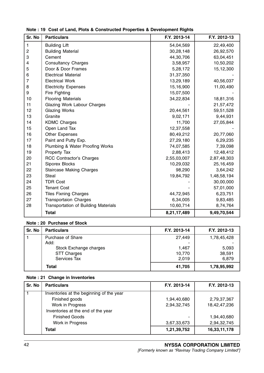| Sr. No         | <b>Particulars</b>                   | F.Y. 2013-14 | F.Y. 2012-13 |
|----------------|--------------------------------------|--------------|--------------|
| $\mathbf{1}$   | <b>Building Lift</b>                 | 54,04,569    | 22,49,400    |
| 2              | <b>Building Material</b>             | 30,28,148    | 26,92,570    |
| 3              | Cement                               | 44,30,706    | 63,04,451    |
| 4              | <b>Consultancy Charges</b>           | 3,58,957     | 10,50,202    |
| 5              | Door & Door Frames                   | 5,28,172     | 15,12,300    |
| 6              | <b>Electrical Material</b>           | 31,37,350    |              |
| $\overline{7}$ | <b>Electrical Work</b>               | 13,29,189    | 40,56,037    |
| 8              | <b>Electricity Expenses</b>          | 15,16,900    | 11,00,490    |
| 9              | Fire Fighting                        | 15,07,500    |              |
| 10             | <b>Flooring Materials</b>            | 34,22,834    | 18,81,316    |
| 11             | Glazing Work Labour Charges          |              | 21,57,472    |
| 12             | <b>Glazing Works</b>                 | 20,44,561    | 59,51,528    |
| 13             | Granite                              | 9,02,171     | 9,44,931     |
| 14             | <b>KDMC Charges</b>                  | 11,700       | 27,05,844    |
| 15             | Open Land Tax                        | 12,37,558    |              |
| 16             | Other Expenses                       | 80,49,212    | 20,77,060    |
| 17             | Paint and Putty Exp.                 | 27,29,180    | 6,29,235     |
| 18             | Plumbing & Water Proofing Works      | 74,07,585    | 7,39,098     |
| 19             | Property Tax                         | 2,88,413     | 12,48,412    |
| 20             | <b>RCC Contractor's Charges</b>      | 2,55,03,007  | 2,87,48,303  |
| 21             | Siporex Blocks                       | 10,29,032    | 25,16,459    |
| 22             | <b>Staircase Making Charges</b>      | 98,290       | 3,64,242     |
| 23             | Steal                                | 19,84,792    | 1,48,58,194  |
| 24             | <b>TDR Cost</b>                      |              | 30,00,000    |
| 25             | <b>Tenant Cost</b>                   |              | 57,01,000    |
| 26             | <b>Tiles Fixning Charges</b>         | 44,72,945    | 6,23,751     |
| 27             | <b>Transportaion Charges</b>         | 6,34,005     | 9,83,485     |
| 28             | Transportation of Building Materials | 10,60,714    | 8,74,764     |
|                | <b>Total</b>                         | 8,21,17,489  | 9,49,70,544  |

# Note : 19 Cost of Land, Plots & Constructed Properties & Development Rights

# Note : 20 Purchase of Stock

| Sr. No | <b>Particulars</b>     | F.Y. 2013-14 | F.Y. 2012-13 |
|--------|------------------------|--------------|--------------|
|        | Purchase of Share      | 27,449       | 1,78,45,428  |
|        | Add:                   |              |              |
|        | Stock Exchange charges | 1,467        | 5,093        |
|        | <b>STT Charges</b>     | 10,770       | 38,591       |
|        | Services Tax           | 2.019        | 6,879        |
|        | Total                  | 41,705       | 1,78,95,992  |

# Note : 21 Change in Inventories

| Sr. No | <b>Particulars</b>                       | F.Y. 2013-14             | F.Y. 2012-13 |
|--------|------------------------------------------|--------------------------|--------------|
|        | Inventories at the beginning of the year |                          |              |
|        | Finished goods                           | 1,94,40,680              | 2,79,37,367  |
|        | Work in Progress                         | 2,94,32,745              | 18,42,47,236 |
|        | Inventories at the end of the year       |                          |              |
|        | <b>Finished Goods</b>                    | $\overline{\phantom{a}}$ | 1,94,40,680  |
|        | Work in Progress                         | 3,67,33,673              | 2,94,32,745  |
|        | Total                                    | 1,21,39,752              | 16,33,11,178 |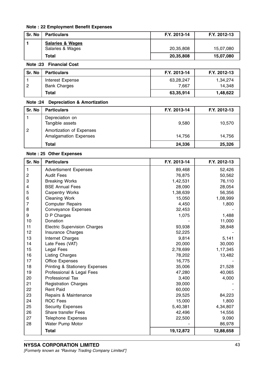# Note : 22 Employment Benefit Expenses

| Sr. No | <b>Particulars</b>                              | F.Y. 2013-14 | F.Y. 2012-13 |
|--------|-------------------------------------------------|--------------|--------------|
|        | <b>Salaries &amp; Wages</b><br>Salaries & Wages | 20,35,808    | 15,07,080    |
|        | Total                                           | 20,35,808    | 15,07,080    |

# Note :23 Financial Cost

| Sr. No | <b>Particulars</b>  | F.Y. 2013-14 | F.Y. 2012-13 |
|--------|---------------------|--------------|--------------|
|        | Interest Expense    | 63,28,247    | 1.34.274     |
| l 2    | <b>Bank Charges</b> | 7.667        | 14.348       |
|        | <b>Total</b>        | 63,35,914    | 1,48,622     |

# Note :24 Depreciation & Amortization

| Sr. No | <b>Particulars</b>                                       | F.Y. 2013-14 | F.Y. 2012-13 |
|--------|----------------------------------------------------------|--------------|--------------|
|        | Depreciation on<br>Tangible assets                       | 9,580        | 10,570       |
| 2      | Amortization of Expenses<br><b>Amalgamation Expenses</b> | 14.756       | 14,756       |
|        | Total                                                    | 24,336       | 25,326       |

# Note : 25 Other Expenses

| Sr. No                  | <b>Particulars</b>                        | F.Y. 2013-14 | F.Y. 2012-13 |
|-------------------------|-------------------------------------------|--------------|--------------|
| $\mathbf{1}$            | <b>Advertisment Expenses</b>              | 89,468       | 52,426       |
| $\mathbf 2$             | <b>Audit Fees</b>                         | 76,875       | 50,562       |
| 3                       | <b>Breaking Works</b>                     | 1,42,531     | 76,110       |
| $\overline{\mathbf{4}}$ | <b>BSE Annual Fees</b>                    | 28,090       | 28,054       |
| 5                       | <b>Carpentry Works</b>                    | 1,38,639     | 56,356       |
| $\,6$                   | <b>Cleaning Work</b>                      | 15,050       | 1,08,999     |
| $\overline{7}$          | <b>Computer Repairs</b>                   | 4,450        | 1,800        |
| 8                       | Conveyance Expenses                       | 32,453       |              |
| 9                       | D P Charges                               | 1,075        | 1,488        |
| 10                      | Donation                                  |              | 11,000       |
| 11                      | <b>Electric Supervision Charges</b>       | 93,938       | 38,848       |
| 12                      | Insurance Charges                         | 52,225       |              |
| 13                      | Internet Charges                          | 9,814        | 5,141        |
| 14                      | Late Fees (VAT)                           | 20,000       | 30,000       |
| 15                      | Legal Fees                                | 2,78,699     | 1,17,345     |
| 16                      | <b>Listing Charges</b>                    | 78,202       | 13,482       |
| 17                      | <b>Office Expenses</b>                    | 16,775       |              |
| 18                      | <b>Printing &amp; Stationery Expenses</b> | 35,006       | 21,528       |
| 19                      | Professional & Legal Fees                 | 47,280       | 40,065       |
| 20                      | Professional Tax                          | 3,400        | 4,000        |
| 21                      | <b>Registration Charges</b>               | 39,000       |              |
| 22                      | <b>Rent Paid</b>                          | 60,000       |              |
| 23                      | Repairs & Maintenance                     | 29,525       | 84,223       |
| 24                      | <b>ROC Fees</b>                           | 15,000       | 1,800        |
| 25                      | <b>Security Expenses</b>                  | 5,40,381     | 4,34,807     |
| 26                      | <b>Share transfer Fees</b>                | 42,496       | 14,556       |
| 27                      | <b>Telephone Expenses</b>                 | 22,500       | 9,090        |
| 28                      | Water Pump Motor                          |              | 86,978       |
|                         | <b>Total</b>                              | 19,12,872    | 12,88,658    |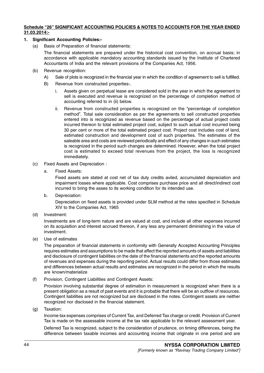# Schedule "26" SIGNIFICANT ACCOUNTING POLICIES & NOTES TO ACCOUNTS FOR THE YEAR ENDED 31.03.2014:-

# 1. Significant Accounting Policies:-

(a) Basis of Preparation of financial statements:

The financial statements are prepared under the historical cost convention, on accrual basis; in accordance with applicable mandatory accounting standards issued by the Institute of Chartered Accountants of India and the relevant provisions of the Companies Act, 1956.

- (b) Revenue recognition:
	- A) Sale of plots is recognized in the financial year in which the condition of agreement to sell is fulfilled.
	- B) Revenue from constructed properties-.
		- i. Assets given on perpetual lease are considered sold in the year in which the agreement to sell is executed and revenue is recognized on the percentage of completion method of accounting referred to in (ii) below.
		- ii. Revenue from constructed properties is recognized on the "percentage of completion method". Total sale consideration as per the agreements to sell constructed properties entered into is recognized as revenue based on the percentage of actual project costs incurred thereon to total estimated project cost, subject to such actual cost incurred being 30 per cent or more of the total estimated project cost. Project cost includes cost of land, estimated construction and development cost of such properties. The estimates of the saleable area and costs are reviewed periodically and effect of any changes in such estimates is recognized in the period such changes are determined. However, when the total project cost is estimated to exceed total revenues from the project, the loss is recognized immediately.
- (c) Fixed Assets and Depreciation :
	- a. Fixed Assets:

Fixed assets are stated at cost net of tax duty credits aviled, accumulated depreciation and impairment losses where applicable. Cost comprises purchase price and all direct/indirect cost incurred to bring the asses to its working condition for its intended use.

b. Depreciation:

Depreciation on fixed assets is provided under SLM method at the rates specified in Schedule XIV to the Companies Act, 1965

(d) Investment:

Investments are of long-term nature and are valued at cost, and include all other expenses incurred on its acquisition and interest accrued thereon, if any less any permanent diminishing in the value of investment.

(e) Use of estimates

The preparation of financial statements in conformity with Generally Accepted Accounting Principles requires estimates and assumptions to be made that affect the reported amounts of assets and liabilities and disclosure of contingent liabilities on the date of the financial statements and the reported amounts of revenues and expenses during the reporting period. Actual results could differ from those estimates and differences between actual results and estimates are recognized in the period in which the results are known/materialize

(f) Provision, Contingent Liabilities and Contingent Assets:

Provision involving substantial degree of estimation in measurement is recognized when there is a present obligation as a result of past events and it is probable that there will be an outflow of resources. Contingent liabilities are not recognized but are disclosed in the notes. Contingent assets are neither recognized nor disclosed in the financial statement.

(g) Taxation:

Income-tax expenses comprises of Current Tax, and Deferred Tax charge or credit. Provision of Current Tax is made on the assessable income at the tax rate applicable to the relevant assessment year.

Deferred Tax is recognized, subject to the consideration of prudence, on timing differences, being the difference between taxable incomes and accounting income that originate in one period and are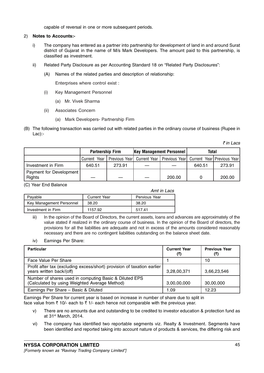capable of reversal in one or more subsequent periods.

# 2) Notes to Accounts:-

- i) The company has entered as a partner into partnership for development of land in and around Surat district of Gujarat in the name of M/s Mark Developers. The amount paid to this partnership, is classified as investment.
- ii) Related Party Disclosure as per Accounting Standard 18 on "Related Party Disclosures":
	- (A) Names of the related parties and description of relationship:

Enterprises where control exist :

- (i) Key Management Personnel
	- (a) Mr. Vivek Sharma
- (ii) Associates Concern
	- (a) Mark Developers- Partnership Firm
- (B) The following transaction was carried out with related parties in the ordinary course of business (Rupee in Lac):-

 $\bar{\tau}$  in Lacs

|                                          | <b>Partnership Firm</b> |        | <b>Key Management Personnel</b> |                                                                          | <b>Total</b> |        |
|------------------------------------------|-------------------------|--------|---------------------------------|--------------------------------------------------------------------------|--------------|--------|
|                                          | Current Year            |        |                                 | Previous Year  Current Year   Previous Year  Current Year  Previous Year |              |        |
| Investment in Firm                       | 640.51                  | 273.91 |                                 |                                                                          | 640.51       | 273.91 |
| Payment for Development<br><b>Rights</b> |                         |        |                                 | 200.00                                                                   |              | 200.00 |

(C) Year End Balance

|                          |                     | Amt in Lacs   |
|--------------------------|---------------------|---------------|
| Payable                  | <b>Current Year</b> | Pervious Year |
| Key Management Personnel | 38.20               | 38.20         |
| Investment in Firm       | 1157.92             | 517.41        |

iii) In the opinion of the Board of Directors, the current assets, loans and advances are approximately of the value stated if realized in the ordinary course of business. In the opinion of the Board of directors, the provisions for all the liabilities are adequate and not in excess of the amounts considered reasonably necessary and there are no contingent liabilities outstanding on the balance sheet date.

iv) Earnings Per Share:

| <b>Particular</b>                                                                                       | <b>Current Year</b><br>(₹) | <b>Previous Year</b><br>(₹) |
|---------------------------------------------------------------------------------------------------------|----------------------------|-----------------------------|
| Face Value Per Share                                                                                    |                            | 10                          |
| Profit after tax (excluding excess/short) provision of taxation earlier<br>years written back/(off)     | 3,28,00,371                | 3,66,23,546                 |
| Number of shares used in computing Basic & Diluted EPS<br>(Calculated by using Weighted Average Method) | 3,00,00,000                | 30,00,000                   |
| Earnings Per Share - Basic & Diluted                                                                    | 1.09                       | 12.23                       |

Earnings Per Share for current year is based on increase in number of share due to split in face value from  $\bar{\tau}$  10/- each to  $\bar{\tau}$  1/- each hence not comparable with the previous year.

- v) There are no amounts due and outstanding to be credited to investor education & protection fund as at 31st March, 2014.
- vi) The company has identified two reportable segments viz. Realty & Investment. Segments have been identified and reported taking into account nature of products & services, the differing risk and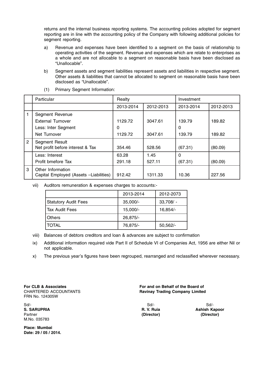returns and the internal business reporting systems. The accounting policies adopted for segment reporting are in line with the accounting policy of the Company with following additional policies for segment reporting.

- a) Revenue and expenses have been identified to a segment on the basis of relationship to operating activities of the segment. Revenue and expenses which are relate to enterprises as a whole and are not allocable to a segment on reasonable basis have been disclosed as "Unallocable".
- b) Segment assets and segment liabilities represent assets and liabilities in respective segment. Other assets & liabilities that cannot be allocated to segment on reasonable basis have been disclosed as "Unallocable".

|                | Particular                                                  | Realty    |           | Investment |           |
|----------------|-------------------------------------------------------------|-----------|-----------|------------|-----------|
|                |                                                             | 2013-2014 | 2012-2013 | 2013-2014  | 2012-2013 |
|                | Segment Revenue                                             |           |           |            |           |
|                | External Turnover                                           | 1129.72   | 3047.61   | 139.79     | 189.82    |
|                | Less: Inter Segment                                         | 0         |           | 0          |           |
|                | Net Turnover                                                | 1129.72   | 3047.61   | 139.79     | 189.82    |
| $\overline{2}$ | Segment Result<br>Net profit before interest & Tax          | 354.46    | 528.56    | (67.31)    | (80.09)   |
|                | Less: Interest                                              | 63.28     | 1.45      | 0          |           |
|                | Profit bmefore Tax                                          | 291.18    | 527.11    | (67.31)    | (80.09)   |
| 3              | Other Information<br>Capital Employed (Assets -Liabilities) | 912.42    | 1311.33   | 10.36      | 227.56    |

(1) Primary Segment Information:

vii) Auditors remuneration & expenses charges to accounts:-

|                             | 2013-2014  | 2012-2073   |
|-----------------------------|------------|-------------|
| <b>Statutory Audit Fees</b> | $35,000/-$ | $33,708/ -$ |
| Tax Audit Fees              | 15,000/-   | 16,854/-    |
| <b>Others</b>               | 26,875/-   |             |
| TOTAL                       | 76,875/-   | $50,562/-$  |

viii) Balances of debtors creditors and loan & advances are subject to confirmation

- ix) Additional information required vide Part II of Schedule VI of Companies Act, 1956 are either Nil or not applicable.
- x) The previous year's figures have been regrouped, rearranged and reclassified wherever necessary.

FRN No. 124305W

Sd/- Sd/- Sd/- Partner (Director) (Director) M.No. 035783

Place: Mumbai Date: 29 / 05 / 2014.

For CLB & Associates For and on Behalf of the Board of CHARTERED ACCOUNTANTS Ravinay Trading Company Limited

S. SARUPRIA **R. V. Ruia Ashish Kapoor** R. V. Ruia Ashish Kapoor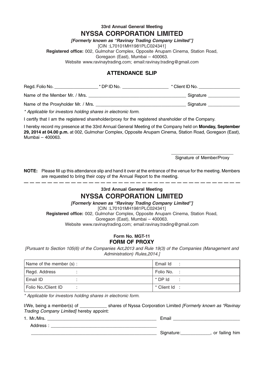# 33rd Annual General Meeting NYSSA CORPORATION LIMITED

[Formerly known as "Ravinay Trading Company Limited"]

[CIN :L70101MH1981PLC024341]

Registered office: 002, Gulmohar Complex, Opposite Anupam Cinema, Station Road,

Goregaon (East), Mumbai – 400063.

Website www.ravinaytrading.com; email:ravinay.trading@gmail.com

# ATTENDANCE SLIP

| Regd. Folio No.               | * DP ID No. | * Client ID No. |
|-------------------------------|-------------|-----------------|
| Name of the Member Mr. / Mrs. |             | Signature       |

Name of the Proxyholder Mr. / Mrs. \_\_\_\_\_\_\_\_\_\_\_\_\_\_\_\_\_\_\_\_\_\_\_\_\_\_\_\_\_\_\_\_\_\_\_\_\_ Signature \_\_\_\_\_\_\_\_\_\_\_\_\_

\* Applicable for investors holding shares in electronic form.

I certify that I am the registered shareholder/proxy for the registered shareholder of the Company.

I hereby record my presence at the 33rd Annual General Meeting of the Company held on Monday, September 29, 2014 at 04.00 p.m. at 002, Gulmohar Complex, Opposite Anupam Cinema, Station Road, Goregaon (East), Mumbai – 400063.

> \_\_\_\_\_\_\_\_\_\_\_\_\_\_\_\_\_\_\_\_\_\_\_\_\_ Signature of Member/Proxy

NOTE: Please fill up this attendance slip and hand it over at the entrance of the venue for the meeting. Members are requested to bring their copy of the Annual Report to the meeting. 

# 33rd Annual General Meeting NYSSA CORPORATION LIMITED

[Formerly known as "Ravinay Trading Company Limited"]

[CIN :L70101MH1981PLC024341]

Registered office: 002, Gulmohar Complex, Opposite Anupam Cinema, Station Road, Goregaon (East), Mumbai – 400063. Website www.ravinaytrading.com; email:ravinay.trading@gmail.com

# Form No. MGT-11 FORM OF PROXY

[Pursuant to Section 105(6) of the Companies Act,2013 and Rule 19(3) of the Companies (Management and Administration) Rules,2014.]

| Name of the member (s): | Email Id     |
|-------------------------|--------------|
| Regd. Address           | Folio No. :  |
| Email ID                | * DP Id      |
| Folio No./Client ID     | * Client Id: |

\* Applicable for investors holding shares in electronic form.

I/We, being a member(s) of  $\blacksquare$  shares of Nyssa Corporation Limited [Formerly known as "Ravinay" Trading Company Limited] hereby appoint:

| 1. Mr./Mrs. | Email      |                |
|-------------|------------|----------------|
| Address ·   |            |                |
|             | Signature: | or failing him |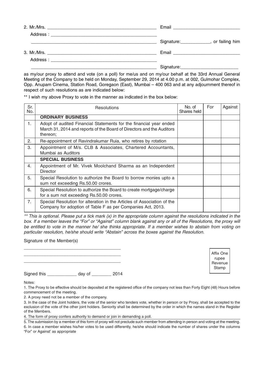| Signature: ______________, or failing him |
|-------------------------------------------|
|                                           |
|                                           |
|                                           |

as my/our proxy to attend and vote (on a poll) for me/us and on my/our behalf at the 33rd Annual General Meeting of the Company to be held on Monday, September 29, 2014 at 4.00 p.m. at 002, Gulmohar Complex, Opp. Anupam Cinema, Station Road, Goregaon (East), Mumbai – 400 063 and at any adjournment thereof in respect of such resolutions as are indicated below:

\*\* I wish my above Proxy to vote in the manner as indicated in the box below:

| Sr.<br>No.     | <b>Resolutions</b>                                                                                                                                      | No. of<br>Shares held | For | Against |
|----------------|---------------------------------------------------------------------------------------------------------------------------------------------------------|-----------------------|-----|---------|
|                | <b>ORDINARY BUSINESS</b>                                                                                                                                |                       |     |         |
| 1.             | Adopt of audited Financial Statements for the financial year ended<br>March 31, 2014 and reports of the Board of Directors and the Auditors<br>thereon; |                       |     |         |
| 2.             | Re-appointment of Ravindrakumar Ruia, who retires by rotation                                                                                           |                       |     |         |
| 3.             | Appointment of M/s. CLB & Associates, Chartered Accountants,<br>Mumbai as Auditors                                                                      |                       |     |         |
|                | <b>SPECIAL BUSINESS</b>                                                                                                                                 |                       |     |         |
| 4.             | Appointment of Mr. Vivek Moolchand Sharma as an Independent<br>Director                                                                                 |                       |     |         |
| 5.             | Special Resolution to authorize the Board to borrow monies upto a<br>sum not exceeding Rs.50.00 crores.                                                 |                       |     |         |
| 6.             | Special Resolution to authorize the Board to create mortgage/charge<br>for a sum not exceeding Rs.50.00 crores.                                         |                       |     |         |
| 7 <sub>1</sub> | Special Resolution for alteration in the Articles of Association of the<br>Company for adoption of Table F as per Companies Act, 2013.                  |                       |     |         |

\*\* This is optional. Please put a tick mark (x) in the appropriate column against the resolutions indicated in the box. If a member leaves the "For" or "Against" column blank against any or all of the Resolutions, the proxy will be entitled to vote in the manner he/ she thinks appropriate. If a member wishes to abstain from voting on particular resolution, he/she should write "Abstain" across the boxes against the Resolution.

Signature of the Member(s)

Signed this \_\_\_\_\_\_\_\_\_\_\_\_ day of \_\_\_\_\_\_\_ 2014

\_\_\_\_\_\_\_\_\_\_\_\_\_\_\_\_\_\_\_\_\_\_\_\_\_\_\_\_\_\_\_\_\_\_\_\_\_\_\_ \_\_\_\_\_\_\_\_\_\_\_\_\_\_\_\_\_\_\_\_\_\_\_\_\_\_\_\_\_\_\_\_\_\_\_\_\_\_\_ \_\_\_\_\_\_\_\_\_\_\_\_\_\_\_\_\_\_\_\_\_\_\_\_\_\_\_\_\_\_\_\_\_\_\_\_\_\_\_

Affix One rupee Revenue Stamp

Notes:

1. The Proxy to be effective should be deposited at the registered office of the company not less than Forty Eight (48) Hours before commencement of the meeting.

2. A proxy need not be a member of the company.

3. In the case of the Joint holders, the vote of the senior who tenders vote, whether in person or by Proxy, shall be accepted to the exclusion of the vote of the other joint holders. Seniority shall be determined by the order in which the names stand in the Register of the Members.

4. The form of proxy confers authority to demand or join in demanding a poll.

5. The submission by a member of this form of proxy will not preclude such member from attending in person and voting at the meeting. 6. In case a member wishes his/her votes to be used differently, he/she should indicate the number of shares under the columns "For" or Against' as appropriate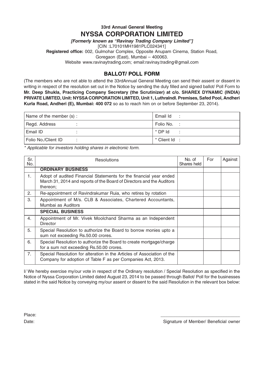# 33rd Annual General Meeting NYSSA CORPORATION LIMITED

[Formerly known as "Ravinay Trading Company Limited"] [CIN :L70101MH1981PLC024341] Registered office: 002, Gulmohar Complex, Opposite Anupam Cinema, Station Road, Goregaon (East), Mumbai – 400063. Website www.ravinaytrading.com; email:ravinay.trading@gmail.com

# BALLOT/ POLL FORM

(The members who are not able to attend the 33rdAnnual General Meeting can send their assent or dissent in writing in respect of the resolution set out in the Notice by sending the duly filled and signed ballot/ Poll Form to Mr. Deep Shukla, Practicing Company Secretary (the Scrutinizer) at c/o. SHAREX DYNAMIC (INDIA) PRIVATE LIMITED, Unit: NYSSA CORPORATION LIMITED, Unit 1, LuthraIndl. Premises, Safed Pool, Andheri Kurla Road, Andheri (E), Mumbai: 400 072 so as to reach him on or before September 23, 2014).

| Name of the member (s): | Email Id     |
|-------------------------|--------------|
| Regd. Address           | Folio No. :  |
| l Email ID.             | * DP Id      |
| Folio No./Client ID     | * Client Id: |

\* Applicable for investors holding shares in electronic form.

| Sr.<br>No. | Resolutions                                                                                                                                             | No. of<br>Shares held | For | Against |
|------------|---------------------------------------------------------------------------------------------------------------------------------------------------------|-----------------------|-----|---------|
|            | <b>ORDINARY BUSINESS</b>                                                                                                                                |                       |     |         |
| 1.         | Adopt of audited Financial Statements for the financial year ended<br>March 31, 2014 and reports of the Board of Directors and the Auditors<br>thereon; |                       |     |         |
| 2.         | Re-appointment of Ravindrakumar Ruia, who retires by rotation                                                                                           |                       |     |         |
| 3.         | Appointment of M/s. CLB & Associates, Chartered Accountants,<br>Mumbai as Auditors                                                                      |                       |     |         |
|            | <b>SPECIAL BUSINESS</b>                                                                                                                                 |                       |     |         |
| 4.         | Appointment of Mr. Vivek Moolchand Sharma as an Independent<br>Director                                                                                 |                       |     |         |
| 5.         | Special Resolution to authorize the Board to borrow monies upto a<br>sum not exceeding Rs.50.00 crores.                                                 |                       |     |         |
| 6.         | Special Resolution to authorize the Board to create mortgage/charge<br>for a sum not exceeding Rs.50.00 crores.                                         |                       |     |         |
| 7.         | Special Resolution for alteration in the Articles of Association of the<br>Company for adoption of Table F as per Companies Act, 2013.                  |                       |     |         |

I/ We hereby exercise my/our vote in respect of the Ordinary resolution / Special Resolution as specified in the Notice of Nyssa Corporation Limited dated August 23, 2014 to be passed through Ballot/ Poll for the businesses stated in the said Notice by conveying my/our assent or dissent to the said Resolution in the relevant box below:

Place: \_\_\_\_\_\_\_\_\_\_\_\_\_\_\_\_\_\_\_\_\_\_\_\_\_\_\_\_\_\_\_\_

Date: **Date:** Signature of Member/ Beneficial owner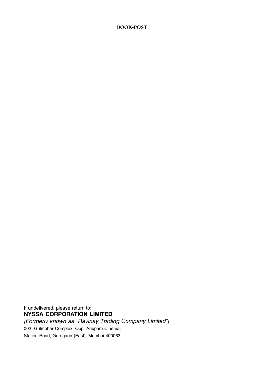# **BOOK-POST**

If undelivered, please return to: NYSSA CORPORATION LIMITED [Formerly known as "Ravinay Trading Company Limited"]

002, Gulmohar Complex, Opp. Anupam Cinema,

Station Road, Goregaon (East), Mumbai 400063